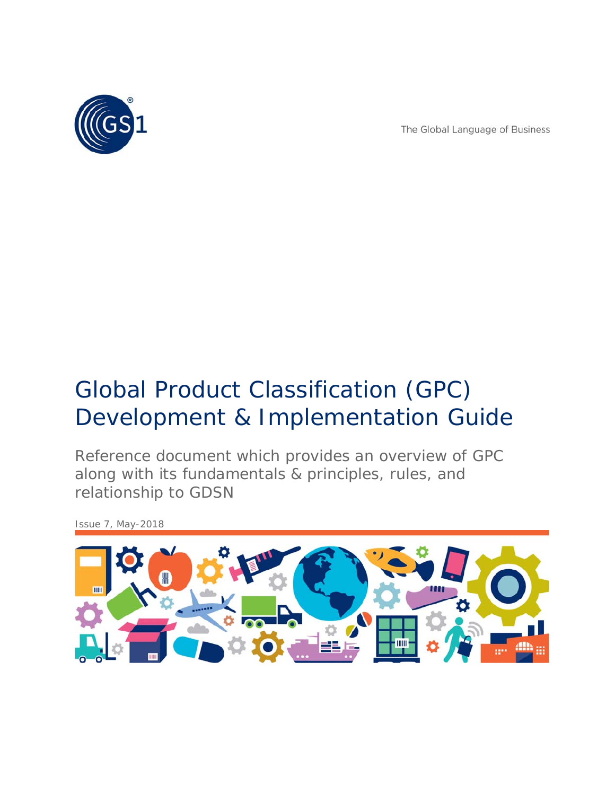

The Global Language of Business

# Global Product Classification (GPC) Development & Implementation Guide

Reference document which provides an overview of GPC along with its fundamentals & principles, rules, and relationship to GDSN

*Issue 7, May-2018*

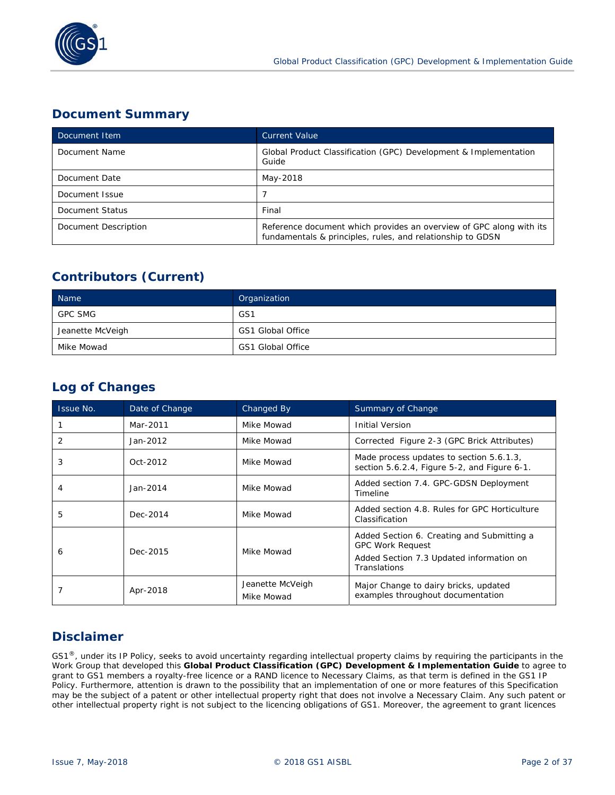

# **Document Summary**

| Document Item        | <b>Current Value</b>                                                                                                              |
|----------------------|-----------------------------------------------------------------------------------------------------------------------------------|
| Document Name        | Global Product Classification (GPC) Development & Implementation<br>Guide                                                         |
| Document Date        | May-2018                                                                                                                          |
| Document Issue       |                                                                                                                                   |
| Document Status      | Final                                                                                                                             |
| Document Description | Reference document which provides an overview of GPC along with its<br>fundamentals & principles, rules, and relationship to GDSN |

# **Contributors (Current)**

| Name             | Organization      |
|------------------|-------------------|
| <b>GPC SMG</b>   | GS1               |
| Jeanette McVeigh | GS1 Global Office |
| Mike Mowad       | GS1 Global Office |

# **Log of Changes**

| Issue No. | Date of Change | Changed By                     | Summary of Change                                                                                                                 |
|-----------|----------------|--------------------------------|-----------------------------------------------------------------------------------------------------------------------------------|
|           | Mar-2011       | Mike Mowad                     | <b>Initial Version</b>                                                                                                            |
| 2         | Jan-2012       | Mike Mowad                     | Corrected Figure 2-3 (GPC Brick Attributes)                                                                                       |
| 3         | Oct-2012       | Mike Mowad                     | Made process updates to section 5.6.1.3,<br>section 5.6.2.4, Figure 5-2, and Figure 6-1.                                          |
|           | Jan-2014       | Mike Mowad                     | Added section 7.4. GPC-GDSN Deployment<br>Timeline                                                                                |
| 5         | Dec-2014       | Mike Mowad                     | Added section 4.8. Rules for GPC Horticulture<br>Classification                                                                   |
| 6         | Dec-2015       | Mike Mowad                     | Added Section 6. Creating and Submitting a<br><b>GPC Work Request</b><br>Added Section 7.3 Updated information on<br>Translations |
|           | Apr-2018       | Jeanette McVeigh<br>Mike Mowad | Major Change to dairy bricks, updated<br>examples throughout documentation                                                        |

# **Disclaimer**

GS1<sup>®</sup>, under its IP Policy, seeks to avoid uncertainty regarding intellectual property claims by requiring the participants in the Work Group that developed this **Global Product Classification (GPC) Development & Implementation Guide** to agree to grant to GS1 members a royalty-free licence or a RAND licence to Necessary Claims, as that term is defined in the GS1 IP Policy. Furthermore, attention is drawn to the possibility that an implementation of one or more features of this Specification may be the subject of a patent or other intellectual property right that does not involve a Necessary Claim. Any such patent or other intellectual property right is not subject to the licencing obligations of GS1. Moreover, the agreement to grant licences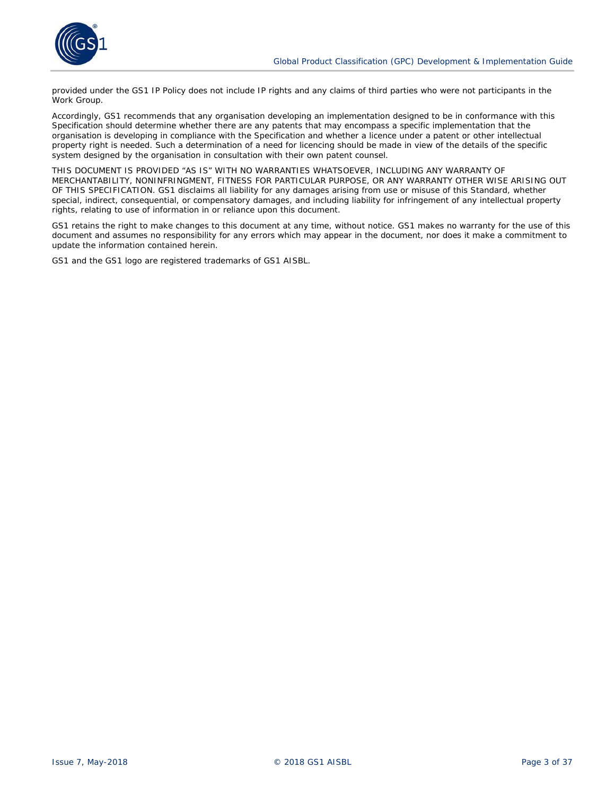

provided under the GS1 IP Policy does not include IP rights and any claims of third parties who were not participants in the Work Group.

Accordingly, GS1 recommends that any organisation developing an implementation designed to be in conformance with this Specification should determine whether there are any patents that may encompass a specific implementation that the organisation is developing in compliance with the Specification and whether a licence under a patent or other intellectual property right is needed. Such a determination of a need for licencing should be made in view of the details of the specific system designed by the organisation in consultation with their own patent counsel.

THIS DOCUMENT IS PROVIDED "AS IS" WITH NO WARRANTIES WHATSOEVER, INCLUDING ANY WARRANTY OF MERCHANTABILITY, NONINFRINGMENT, FITNESS FOR PARTICULAR PURPOSE, OR ANY WARRANTY OTHER WISE ARISING OUT OF THIS SPECIFICATION. GS1 disclaims all liability for any damages arising from use or misuse of this Standard, whether special, indirect, consequential, or compensatory damages, and including liability for infringement of any intellectual property rights, relating to use of information in or reliance upon this document.

GS1 retains the right to make changes to this document at any time, without notice. GS1 makes no warranty for the use of this document and assumes no responsibility for any errors which may appear in the document, nor does it make a commitment to update the information contained herein.

GS1 and the GS1 logo are registered trademarks of GS1 AISBL.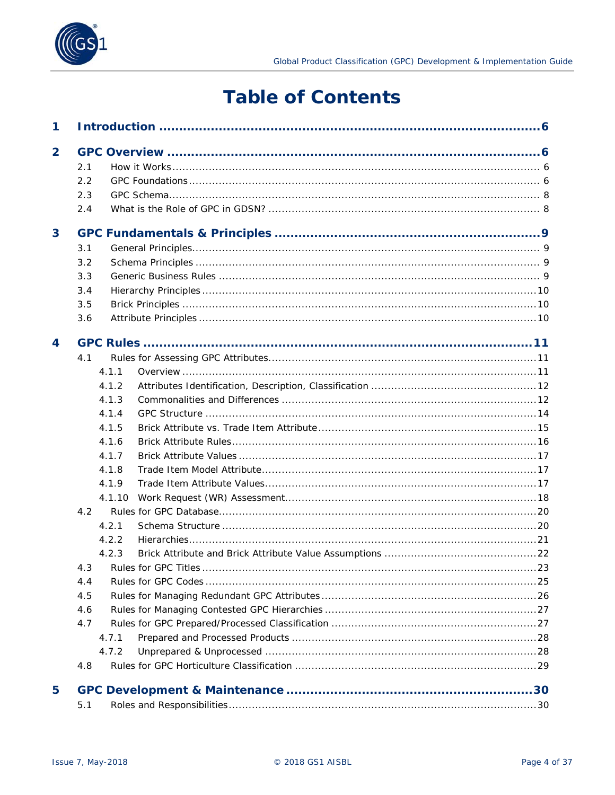

# **Table of Contents**

| 4.1.10                         |
|--------------------------------|
|                                |
|                                |
|                                |
|                                |
| 4.3 Rules for GPC Titles<br>23 |
|                                |
|                                |
|                                |
|                                |
|                                |
|                                |
|                                |
|                                |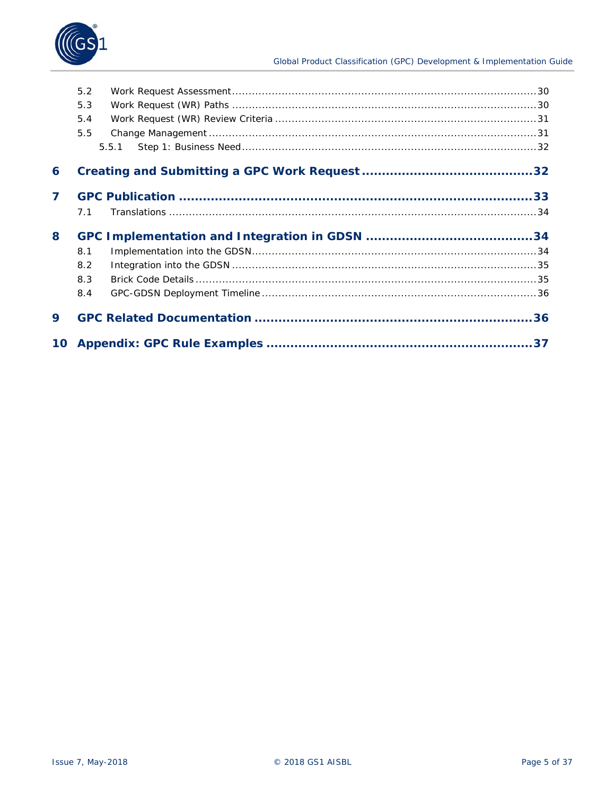

|   | 5.2 |       |  |
|---|-----|-------|--|
|   | 5.3 |       |  |
|   | 5.4 |       |  |
|   | 5.5 |       |  |
|   |     | 5.5.1 |  |
| 6 |     |       |  |
| 7 |     |       |  |
|   | 7.1 |       |  |
|   |     |       |  |
| 8 |     |       |  |
|   | 8.1 |       |  |
|   | 8.2 |       |  |
|   | 8.3 |       |  |
|   | 8.4 |       |  |
| 9 |     |       |  |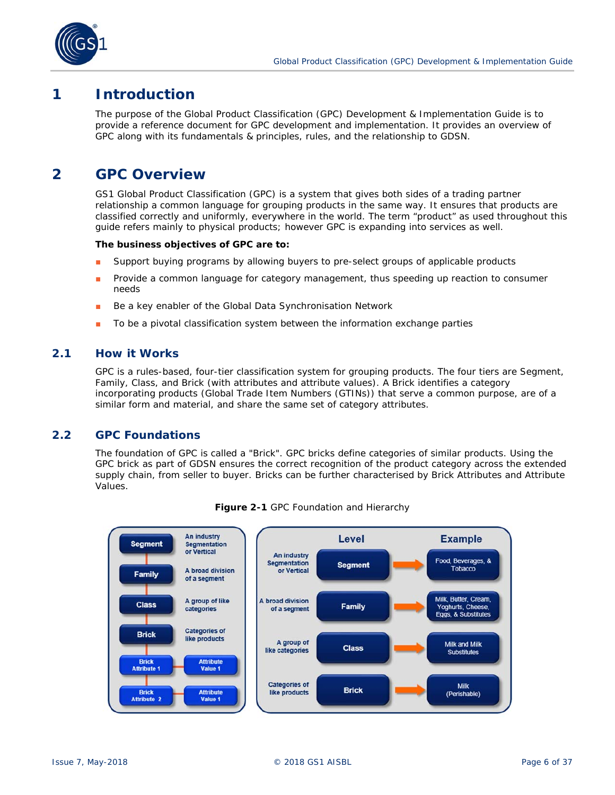

# **1 Introduction**

The purpose of the Global Product Classification (GPC) Development & Implementation Guide is to provide a reference document for GPC development and implementation. It provides an overview of GPC along with its fundamentals & principles, rules, and the relationship to GDSN.

# **2 GPC Overview**

GS1 Global Product Classification (GPC) is a system that gives both sides of a trading partner relationship a common language for grouping products in the same way. It ensures that products are classified correctly and uniformly, everywhere in the world. The term "product" as used throughout this guide refers mainly to physical products; however GPC is expanding into services as well.

### **The business objectives of GPC are to:**

- Support buying programs by allowing buyers to pre-select groups of applicable products
- Provide a common language for category management, thus speeding up reaction to consumer needs
- Be a key enabler of the Global Data Synchronisation Network
- To be a pivotal classification system between the information exchange parties

# **2.1 How it Works**

GPC is a rules-based, four-tier classification system for grouping products. The four tiers are Segment, Family, Class, and Brick (with attributes and attribute values). A Brick identifies a category incorporating products (Global Trade Item Numbers (GTINs)) that serve a common purpose, are of a similar form and material, and share the same set of category attributes.

# **2.2 GPC Foundations**

The foundation of GPC is called a "Brick". GPC bricks define categories of similar products. Using the GPC brick as part of GDSN ensures the correct recognition of the product category across the extended supply chain, from seller to buyer. Bricks can be further characterised by Brick Attributes and Attribute Values.



**Figure 2-1** GPC Foundation and Hierarchy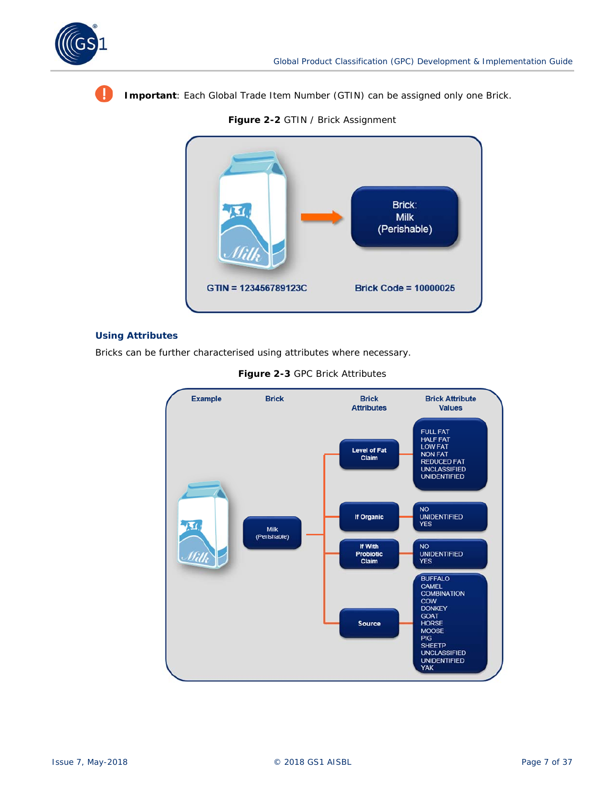

Ţ

**Important**: Each Global Trade Item Number (GTIN) can be assigned only one Brick.

**Figure 2-2** GTIN / Brick Assignment



### **Using Attributes**

Bricks can be further characterised using attributes where necessary.



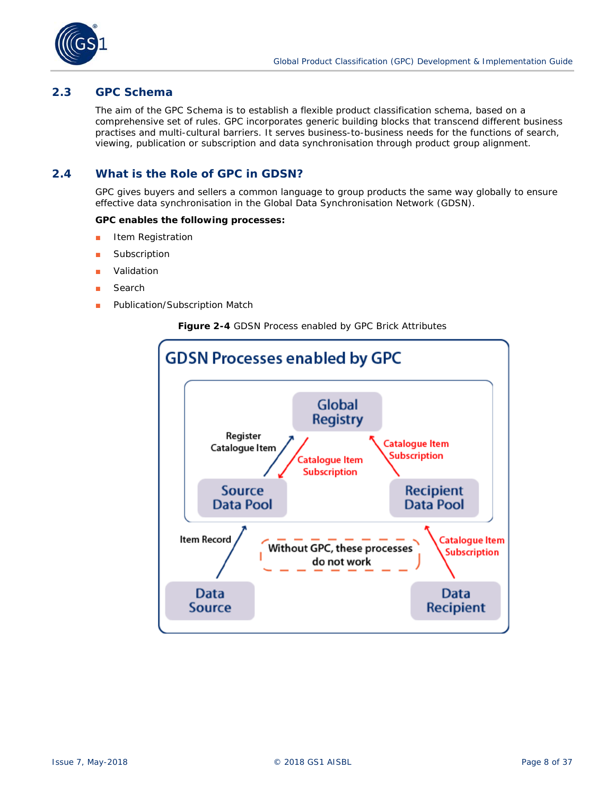

# **2.3 GPC Schema**

The aim of the GPC Schema is to establish a flexible product classification schema, based on a comprehensive set of rules. GPC incorporates generic building blocks that transcend different business practises and multi-cultural barriers. It serves business-to-business needs for the functions of search, viewing, publication or subscription and data synchronisation through product group alignment.

# **2.4 What is the Role of GPC in GDSN?**

GPC gives buyers and sellers a common language to group products the same way globally to ensure effective data synchronisation in the Global Data Synchronisation Network (GDSN).

### **GPC enables the following processes:**

- Item Registration
- Subscription
- Validation
- Search
- Publication/Subscription Match



#### **Figure 2-4** GDSN Process enabled by GPC Brick Attributes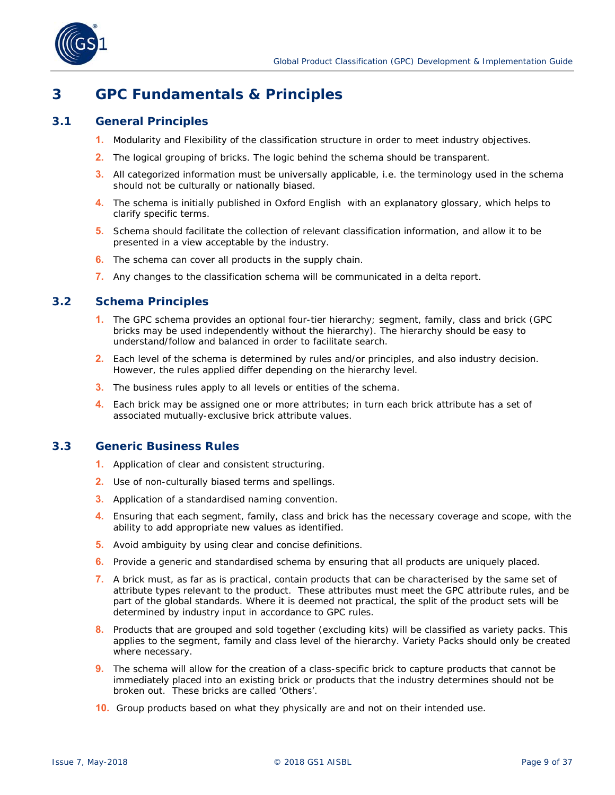

# **3 GPC Fundamentals & Principles**

# **3.1 General Principles**

- **1.** Modularity and Flexibility of the classification structure in order to meet industry objectives.
- **2.** The logical grouping of bricks. The logic behind the schema should be transparent.
- **3.** All categorized information must be universally applicable, i.e. the terminology used in the schema should not be culturally or nationally biased.
- **4.** The schema is initially published in Oxford English with an explanatory glossary, which helps to clarify specific terms.
- **5.** Schema should facilitate the collection of relevant classification information, and allow it to be presented in a view acceptable by the industry.
- **6.** The schema can cover all products in the supply chain.
- **7.** Any changes to the classification schema will be communicated in a delta report.

# **3.2 Schema Principles**

- **1.** The GPC schema provides an optional four-tier hierarchy; segment, family, class and brick (GPC bricks may be used independently without the hierarchy). The hierarchy should be easy to understand/follow and balanced in order to facilitate search.
- **2.** Each level of the schema is determined by rules and/or principles, and also industry decision. However, the rules applied differ depending on the hierarchy level.
- **3.** The business rules apply to all levels or entities of the schema.
- **4.** Each brick may be assigned one or more attributes; in turn each brick attribute has a set of associated mutually-exclusive brick attribute values.

### **3.3 Generic Business Rules**

- **1.** Application of clear and consistent structuring.
- **2.** Use of non-culturally biased terms and spellings.
- **3.** Application of a standardised naming convention.
- **4.** Ensuring that each segment, family, class and brick has the necessary coverage and scope, with the ability to add appropriate new values as identified.
- **5.** Avoid ambiguity by using clear and concise definitions.
- **6.** Provide a generic and standardised schema by ensuring that all products are uniquely placed.
- **7.** A brick must, as far as is practical, contain products that can be characterised by the same set of attribute types relevant to the product. These attributes must meet the GPC attribute rules, and be part of the global standards. Where it is deemed not practical, the split of the product sets will be determined by industry input in accordance to GPC rules.
- **8.** Products that are grouped and sold together (excluding kits) will be classified as variety packs. This applies to the segment, family and class level of the hierarchy. Variety Packs should only be created where necessary.
- **9.** The schema will allow for the creation of a class-specific brick to capture products that cannot be immediately placed into an existing brick or products that the industry determines should not be broken out. These bricks are called 'Others'.
- **10.** Group products based on what they physically are and not on their intended use.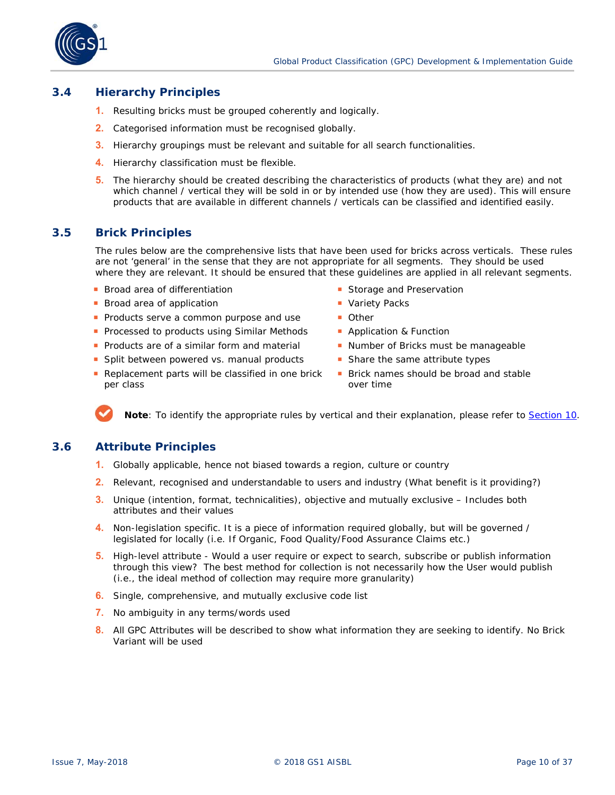

# **3.4 Hierarchy Principles**

- **1.** Resulting bricks must be grouped coherently and logically.
- **2.** Categorised information must be recognised globally.
- **3.** Hierarchy groupings must be relevant and suitable for all search functionalities.
- **4.** Hierarchy classification must be flexible.
- **5.** The hierarchy should be created describing the characteristics of products (what they are) and not which channel / vertical they will be sold in or by intended use (how they are used). This will ensure products that are available in different channels / verticals can be classified and identified easily.

# **3.5 Brick Principles**

The rules below are the comprehensive lists that have been used for bricks across verticals. These rules are not 'general' in the sense that they are not appropriate for all segments. They should be used where they are relevant. It should be ensured that these guidelines are applied in all relevant segments.

- **Broad area of differentiation**
- **Broad area of application**
- **Products serve a common purpose and use**
- **Processed to products using Similar Methods**
- **Products are of a similar form and material**
- **Split between powered vs. manual products**
- Replacement parts will be classified in one brick per class
- Storage and Preservation
- **Variety Packs**
- **Other**
- **Application & Function**
- Number of Bricks must be manageable
- **Share the same attribute types**
- **Brick names should be broad and stable** over time

**Note**: To identify the appropriate rules by vertical and their explanation, please refer to *Section 10*.

# **3.6 Attribute Principles**

- **1.** Globally applicable, hence not biased towards a region, culture or country
- **2.** Relevant, recognised and understandable to users and industry (What benefit is it providing?)
- **3.** Unique (intention, format, technicalities), objective and mutually exclusive Includes both attributes and their values
- **4.** Non-legislation specific. It is a piece of information required globally, but will be governed / legislated for locally (i.e. If Organic, Food Quality/Food Assurance Claims etc.)
- **5.** High-level attribute Would a user require or expect to search, subscribe or publish information through this view? The best method for collection is not necessarily how the User would publish (i.e., the ideal method of collection may require more granularity)
- **6.** Single, comprehensive, and mutually exclusive code list
- **7.** No ambiguity in any terms/words used
- **8.** All GPC Attributes will be described to show what information they are seeking to identify. No Brick Variant will be used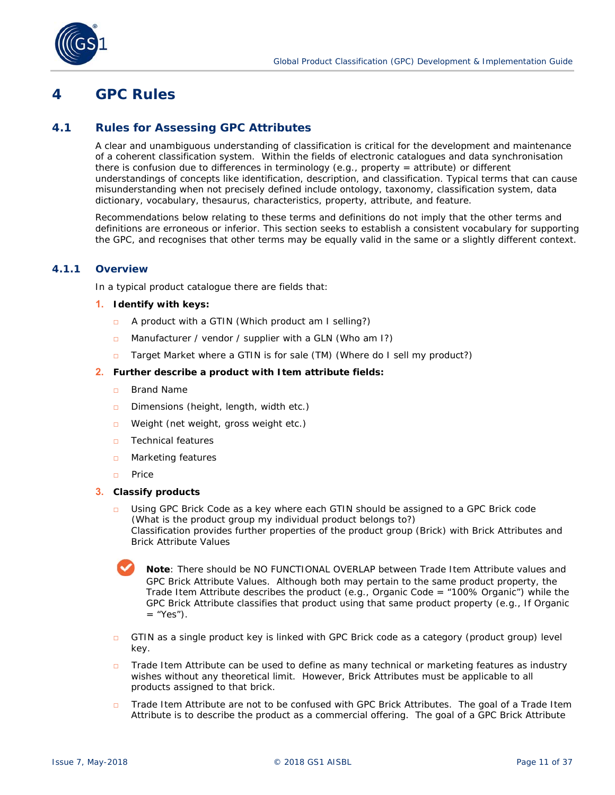<span id="page-10-0"></span>

#### **4 GPC Rules**

#### **4.1 Rules for Assessing GPC Attributes**

A clear and unambiguous understanding of classification is critical for the development and maintenance of a coherent classification system. Within the fields of electronic catalogues and data synchronisation there is confusion due to differences in terminology (e.g., property = attribute) or different understandings of concepts like identification, description, and classification. Typical terms that can cause misunderstanding when not precisely defined include ontology, taxonomy, classification system, data dictionary, vocabulary, thesaurus, characteristics, property, attribute, and feature.

Recommendations below relating to these terms and definitions do not imply that the other terms and definitions are erroneous or inferior. This section seeks to establish a consistent vocabulary for supporting the GPC, and recognises that other terms may be equally valid in the same or a slightly different context.

# **4.1.1 Overview**

In a typical product catalogue there are fields that:

#### **1. Identify with keys:**

- □ A product with a GTIN (Which product am I selling?)
- □ Manufacturer / vendor / supplier with a GLN (Who am I?)
- □ Target Market where a GTIN is for sale (TM) (Where do I sell my product?)

#### **2. Further describe a product with Item attribute fields:**

- □ Brand Name
- □ Dimensions (height, length, width etc.)
- □ Weight (net weight, gross weight etc.)
- □ Technical features
- □ Marketing features
- □ Price

### **3. Classify products**

□ Using GPC Brick Code as a key where each GTIN should be assigned to a GPC Brick code (What is the product group my individual product belongs to?) Classification provides further properties of the product group (Brick) with Brick Attributes and Brick Attribute Values

**Note**: There should be NO FUNCTIONAL OVERLAP between Trade Item Attribute values and GPC Brick Attribute Values. Although both may pertain to the same product property, the Trade Item Attribute describes the product  $(e.g.,$  Organic Code = "100% Organic") while the GPC Brick Attribute classifies that product using that same product property (e.g., If Organic  $=$  "Yes").

- $\Box$  GTIN as a single product key is linked with GPC Brick code as a category (product group) level key.
- □ Trade Item Attribute can be used to define as many technical or marketing features as industry wishes without any theoretical limit. However, Brick Attributes must be applicable to all products assigned to that brick.
- Trade Item Attribute are not to be confused with GPC Brick Attributes. The goal of a Trade Item Attribute is to describe the product as a commercial offering. The goal of a GPC Brick Attribute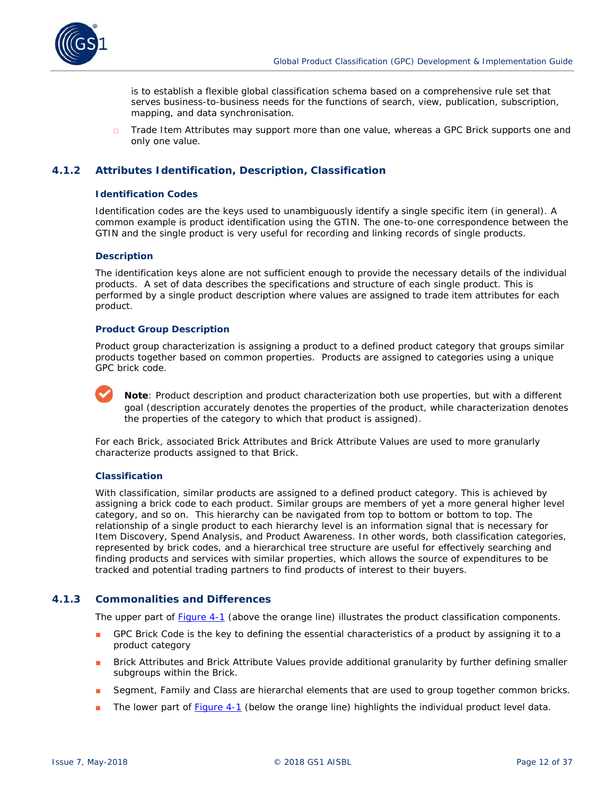

is to establish a flexible global classification schema based on a comprehensive rule set that serves business-to-business needs for the functions of search, view, publication, subscription, mapping, and data synchronisation.

□ Trade Item Attributes may support more than one value, whereas a GPC Brick supports one and only one value.

# **4.1.2 Attributes Identification, Description, Classification**

#### **Identification Codes**

Identification codes are the keys used to unambiguously identify a single specific item (in general). A common example is product identification using the GTIN. The one-to-one correspondence between the GTIN and the single product is very useful for recording and linking records of single products.

#### **Description**

The identification keys alone are not sufficient enough to provide the necessary details of the individual products. A set of data describes the specifications and structure of each single product. This is performed by a single product description where values are assigned to trade item attributes for each product.

#### **Product Group Description**

Product group characterization is assigning a product to a defined product category that groups similar products together based on common properties. Products are assigned to categories using a unique GPC brick code.



**Note**: Product description and product characterization both use properties, but with a different goal (description accurately denotes the properties of the product, while characterization denotes the properties of the category to which that product is assigned).

For each Brick, associated Brick Attributes and Brick Attribute Values are used to more granularly characterize products assigned to that Brick.

#### **Classification**

With classification, similar products are assigned to a defined product category. This is achieved by assigning a brick code to each product. Similar groups are members of yet a more general higher level category, and so on. This hierarchy can be navigated from top to bottom or bottom to top. The relationship of a single product to each hierarchy level is an information signal that is necessary for Item Discovery, Spend Analysis, and Product Awareness. In other words, both classification categories, represented by brick codes, and a hierarchical tree structure are useful for effectively searching and finding products and services with similar properties, which allows the source of expenditures to be tracked and potential trading partners to find products of interest to their buyers.

### **4.1.3 Commonalities and Differences**

The upper part of *[Figure 4-1](#page-12-0)* (above the orange line) illustrates the product classification components.

- GPC Brick Code is the key to defining the essential characteristics of a product by assigning it to a product category
- Brick Attributes and Brick Attribute Values provide additional granularity by further defining smaller subgroups within the Brick.
- Segment, Family and Class are hierarchal elements that are used to group together common bricks.
- The lower part of *[Figure 4-1](#page-12-0)* (below the orange line) highlights the individual product level data.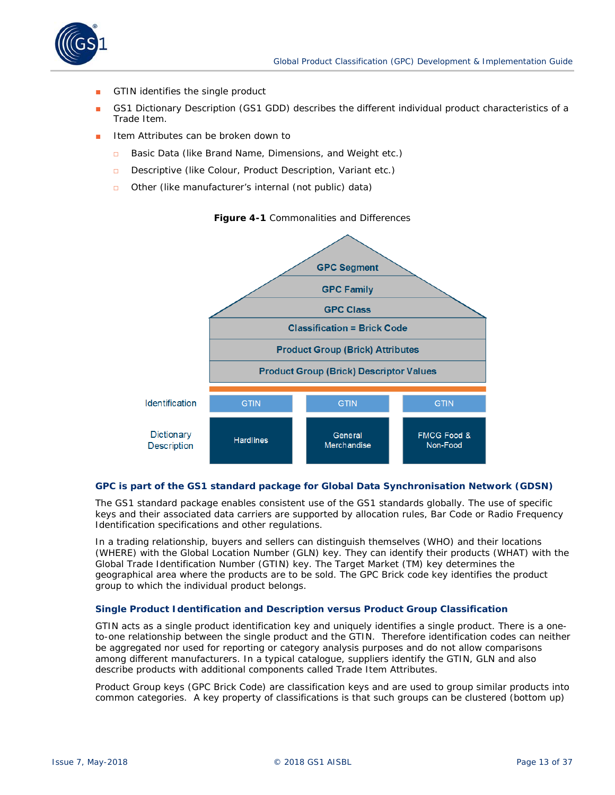<span id="page-12-0"></span>

- GTIN identifies the single product
- GS1 Dictionary Description (GS1 GDD) describes the different individual product characteristics of a Trade Item.
- Item Attributes can be broken down to
	- Basic Data (like Brand Name, Dimensions, and Weight etc.)
	- □ Descriptive (like Colour, Product Description, Variant etc.)
	- □ Other (like manufacturer's internal (not public) data)

**Figure 4-1** Commonalities and Differences



### **GPC is part of the GS1 standard package for Global Data Synchronisation Network (GDSN)**

The GS1 standard package enables consistent use of the GS1 standards globally. The use of specific keys and their associated data carriers are supported by allocation rules, Bar Code or Radio Frequency Identification specifications and other regulations.

In a trading relationship, buyers and sellers can distinguish themselves (WHO) and their locations (WHERE) with the Global Location Number (GLN) key. They can identify their products (WHAT) with the Global Trade Identification Number (GTIN) key. The Target Market (TM) key determines the geographical area where the products are to be sold. The GPC Brick code key identifies the product group to which the individual product belongs.

### **Single Product Identification and Description versus Product Group Classification**

GTIN acts as a single product identification key and uniquely identifies a single product. There is a oneto-one relationship between the single product and the GTIN. Therefore identification codes can neither be aggregated nor used for reporting or category analysis purposes and do not allow comparisons among different manufacturers. In a typical catalogue, suppliers identify the GTIN, GLN and also describe products with additional components called Trade Item Attributes.

Product Group keys (GPC Brick Code) are classification keys and are used to group similar products into common categories. A key property of classifications is that such groups can be clustered (bottom up)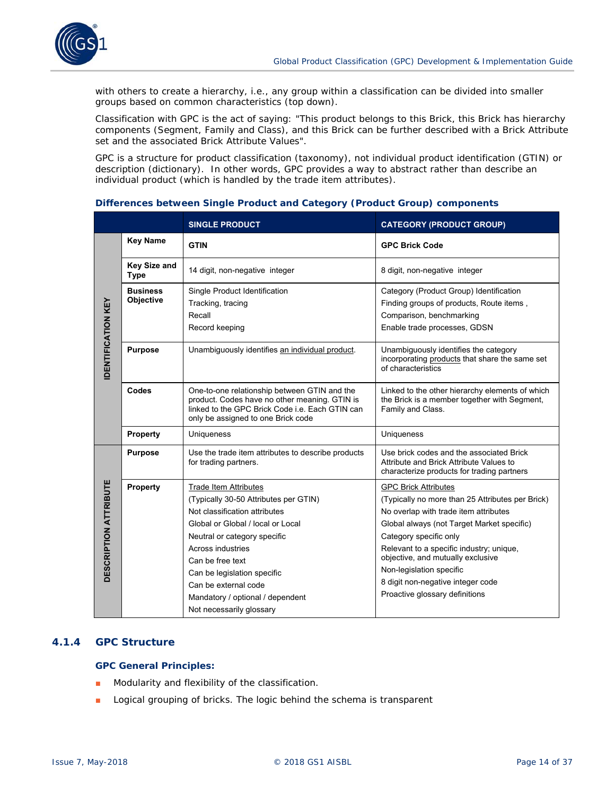

with others to create a hierarchy, i.e., any group within a classification can be divided into smaller groups based on common characteristics (top down).

Classification with GPC is the act of saying: "This product belongs to this Brick, this Brick has hierarchy components (Segment, Family and Class), and this Brick can be further described with a Brick Attribute set and the associated Brick Attribute Values".

GPC is a structure for product classification (taxonomy), not individual product identification (GTIN) or description (dictionary). In other words, GPC provides a way to abstract rather than describe an individual product (which is handled by the trade item attributes).

|                              |                                    | <b>SINGLE PRODUCT</b>                                                                                                                                                                                                                                                                                           | <b>CATEGORY (PRODUCT GROUP)</b>                                                                                                                                                                                                                                                                                                                                                      |  |  |
|------------------------------|------------------------------------|-----------------------------------------------------------------------------------------------------------------------------------------------------------------------------------------------------------------------------------------------------------------------------------------------------------------|--------------------------------------------------------------------------------------------------------------------------------------------------------------------------------------------------------------------------------------------------------------------------------------------------------------------------------------------------------------------------------------|--|--|
|                              | <b>Key Name</b>                    | <b>GTIN</b>                                                                                                                                                                                                                                                                                                     | <b>GPC Brick Code</b>                                                                                                                                                                                                                                                                                                                                                                |  |  |
|                              | <b>Key Size and</b><br><b>Type</b> | 14 digit, non-negative integer                                                                                                                                                                                                                                                                                  | 8 digit, non-negative integer                                                                                                                                                                                                                                                                                                                                                        |  |  |
| <b>DENTIFICATION KEY</b>     | <b>Business</b><br>Objective       | Single Product Identification<br>Tracking, tracing<br>Recall<br>Record keeping                                                                                                                                                                                                                                  | Category (Product Group) Identification<br>Finding groups of products, Route items,<br>Comparison, benchmarking<br>Enable trade processes, GDSN                                                                                                                                                                                                                                      |  |  |
|                              | <b>Purpose</b>                     | Unambiguously identifies an individual product.                                                                                                                                                                                                                                                                 | Unambiguously identifies the category<br>incorporating products that share the same set<br>of characteristics                                                                                                                                                                                                                                                                        |  |  |
|                              | Codes                              | One-to-one relationship between GTIN and the<br>product. Codes have no other meaning. GTIN is<br>linked to the GPC Brick Code i.e. Each GTIN can<br>only be assigned to one Brick code                                                                                                                          | Linked to the other hierarchy elements of which<br>the Brick is a member together with Segment,<br>Family and Class.                                                                                                                                                                                                                                                                 |  |  |
|                              | <b>Property</b>                    | <b>Uniqueness</b>                                                                                                                                                                                                                                                                                               | Uniqueness                                                                                                                                                                                                                                                                                                                                                                           |  |  |
|                              | <b>Purpose</b>                     | Use the trade item attributes to describe products<br>for trading partners.                                                                                                                                                                                                                                     | Use brick codes and the associated Brick<br>Attribute and Brick Attribute Values to<br>characterize products for trading partners                                                                                                                                                                                                                                                    |  |  |
| <b>DESCRIPTION ATTRIBUTE</b> | <b>Property</b>                    | <b>Trade Item Attributes</b><br>(Typically 30-50 Attributes per GTIN)<br>Not classification attributes<br>Global or Global / local or Local<br>Neutral or category specific<br>Across industries<br>Can be free text<br>Can be legislation specific<br>Can be external code<br>Mandatory / optional / dependent | <b>GPC Brick Attributes</b><br>(Typically no more than 25 Attributes per Brick)<br>No overlap with trade item attributes<br>Global always (not Target Market specific)<br>Category specific only<br>Relevant to a specific industry; unique,<br>objective, and mutually exclusive<br>Non-legislation specific<br>8 digit non-negative integer code<br>Proactive glossary definitions |  |  |
|                              |                                    | Not necessarily glossary                                                                                                                                                                                                                                                                                        |                                                                                                                                                                                                                                                                                                                                                                                      |  |  |

#### **Differences between Single Product and Category (Product Group) components**

# **4.1.4 GPC Structure**

### **GPC General Principles:**

- Modularity and flexibility of the classification.
- Logical grouping of bricks. The logic behind the schema is transparent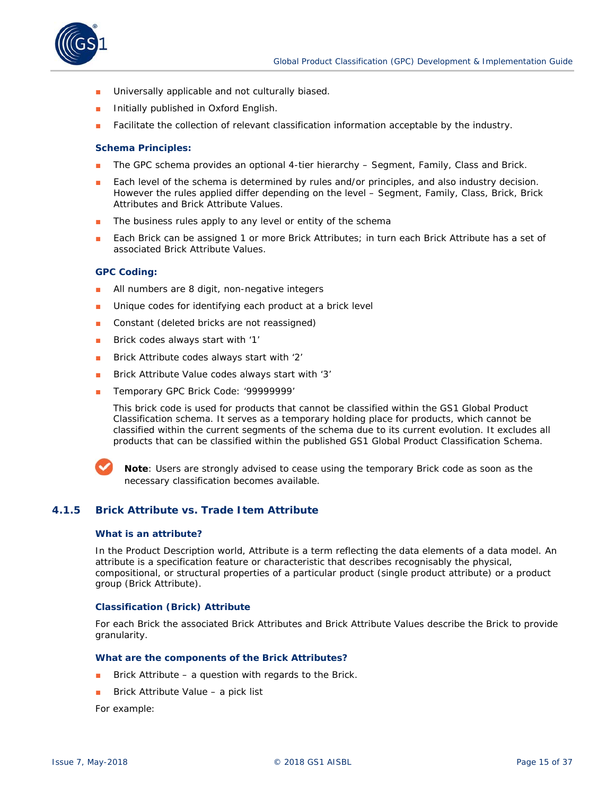

- Universally applicable and not culturally biased.
- Initially published in Oxford English.
- Facilitate the collection of relevant classification information acceptable by the industry.

#### **Schema Principles:**

- The GPC schema provides an optional 4-tier hierarchy Segment, Family, Class and Brick.
- Each level of the schema is determined by rules and/or principles, and also industry decision. However the rules applied differ depending on the level – Segment, Family, Class, Brick, Brick Attributes and Brick Attribute Values.
- The business rules apply to any level or entity of the schema
- Each Brick can be assigned 1 or more Brick Attributes; in turn each Brick Attribute has a set of associated Brick Attribute Values.

#### **GPC Coding:**

- All numbers are 8 digit, non-negative integers
- Unique codes for identifying each product at a brick level
- Constant (deleted bricks are not reassigned)
- Brick codes always start with '1'
- Brick Attribute codes always start with '2'
- Brick Attribute Value codes always start with '3'
- Temporary GPC Brick Code: '99999999'

This brick code is used for products that cannot be classified within the GS1 Global Product Classification schema. It serves as a temporary holding place for products, which cannot be classified within the current segments of the schema due to its current evolution. It excludes all products that can be classified within the published GS1 Global Product Classification Schema.



**Note**: Users are strongly advised to cease using the temporary Brick code as soon as the necessary classification becomes available.

# **4.1.5 Brick Attribute vs. Trade Item Attribute**

#### **What is an attribute?**

In the Product Description world, Attribute is a term reflecting the data elements of a data model. An attribute is a specification feature or characteristic that describes recognisably the physical, compositional, or structural properties of a particular product (single product attribute) or a product group (Brick Attribute).

#### **Classification (Brick) Attribute**

For each Brick the associated Brick Attributes and Brick Attribute Values describe the Brick to provide granularity.

#### **What are the components of the Brick Attributes?**

- Brick Attribute a question with regards to the Brick.
- Brick Attribute Value a pick list

For example: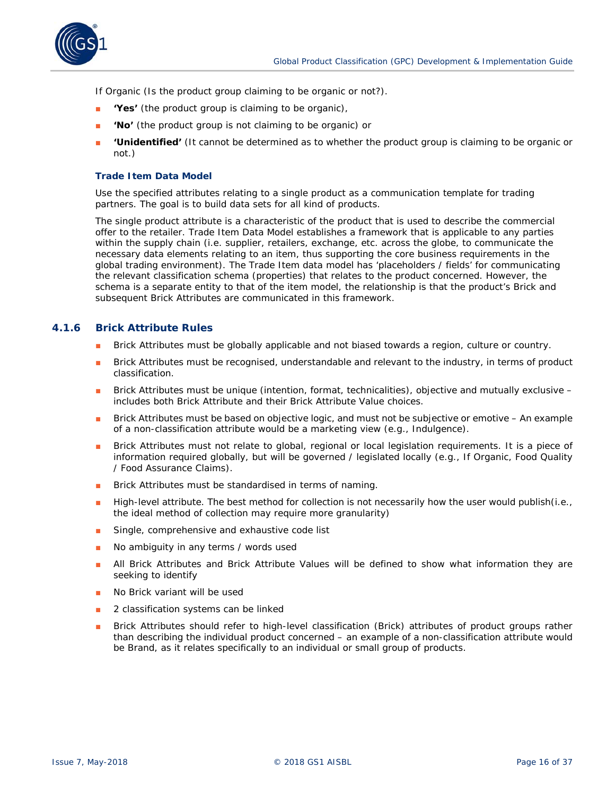

If Organic (Is the product group claiming to be organic or not?).

- **'Yes'** (the product group is claiming to be organic),
- 'No' (the product group is not claiming to be organic) or
- **'Unidentified'** (It cannot be determined as to whether the product group is claiming to be organic or not.)

#### **Trade Item Data Model**

Use the specified attributes relating to a single product as a communication template for trading partners. The goal is to build data sets for all kind of products.

The single product attribute is a characteristic of the product that is used to describe the commercial offer to the retailer. Trade Item Data Model establishes a framework that is applicable to any parties within the supply chain (i.e. supplier, retailers, exchange, etc. across the globe, to communicate the necessary data elements relating to an item, thus supporting the core business requirements in the global trading environment). The Trade Item data model has 'placeholders / fields' for communicating the relevant classification schema (properties) that relates to the product concerned. However, the schema is a separate entity to that of the item model, the relationship is that the product's Brick and subsequent Brick Attributes are communicated in this framework.

# **4.1.6 Brick Attribute Rules**

- Brick Attributes must be globally applicable and not biased towards a region, culture or country.
- Brick Attributes must be recognised, understandable and relevant to the industry, in terms of product classification.
- Brick Attributes must be unique (intention, format, technicalities), objective and mutually exclusive includes both Brick Attribute and their Brick Attribute Value choices.
- Brick Attributes must be based on objective logic, and must not be subjective or emotive An example of a non-classification attribute would be a marketing view (e.g., Indulgence).
- Brick Attributes must not relate to global, regional or local legislation requirements. It is a piece of information required globally, but will be governed / legislated locally (e.g., If Organic, Food Quality / Food Assurance Claims).
- Brick Attributes must be standardised in terms of naming.
- High-level attribute. The best method for collection is not necessarily how the user would publish(i.e., the ideal method of collection may require more granularity)
- Single, comprehensive and exhaustive code list
- No ambiguity in any terms / words used
- All Brick Attributes and Brick Attribute Values will be defined to show what information they are seeking to identify
- No Brick variant will be used
- 2 classification systems can be linked
- Brick Attributes should refer to high-level classification (Brick) attributes of product groups rather than describing the individual product concerned – an example of a non-classification attribute would be Brand, as it relates specifically to an individual or small group of products.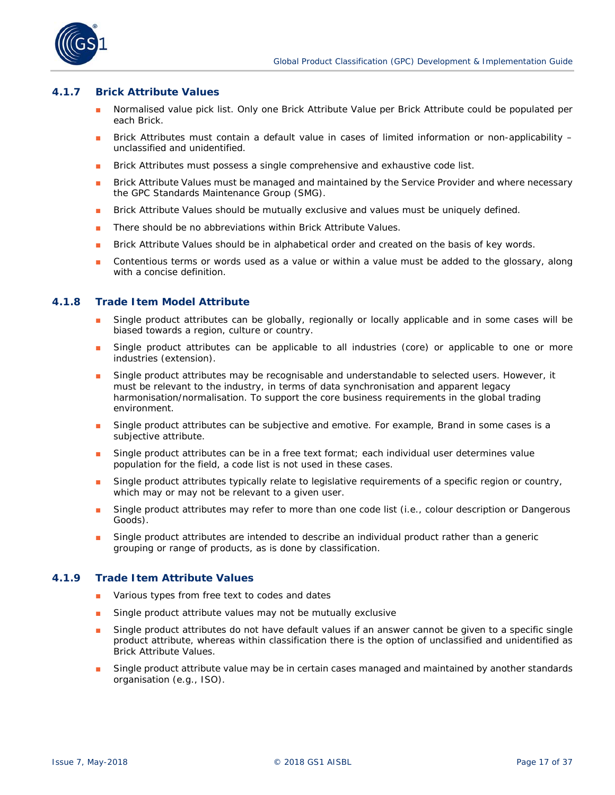

#### **4.1.7 Brick Attribute Values**

- Normalised value pick list. Only one Brick Attribute Value per Brick Attribute could be populated per each Brick.
- Brick Attributes must contain a default value in cases of limited information or non-applicability unclassified and unidentified.
- Brick Attributes must possess a single comprehensive and exhaustive code list.
- Brick Attribute Values must be managed and maintained by the Service Provider and where necessary the GPC Standards Maintenance Group (SMG).
- Brick Attribute Values should be mutually exclusive and values must be uniquely defined.
- There should be no abbreviations within Brick Attribute Values.
- Brick Attribute Values should be in alphabetical order and created on the basis of key words.
- Contentious terms or words used as a value or within a value must be added to the glossary, along with a concise definition.

#### **4.1.8 Trade Item Model Attribute**

- Single product attributes can be globally, regionally or locally applicable and in some cases will be biased towards a region, culture or country.
- Single product attributes can be applicable to all industries (core) or applicable to one or more industries (extension).
- Single product attributes may be recognisable and understandable to selected users. However, it must be relevant to the industry, in terms of data synchronisation and apparent legacy harmonisation/normalisation. To support the core business requirements in the global trading environment.
- Single product attributes can be subjective and emotive. For example, Brand in some cases is a subjective attribute.
- Single product attributes can be in a free text format; each individual user determines value population for the field, a code list is not used in these cases.
- Single product attributes typically relate to legislative requirements of a specific region or country, which may or may not be relevant to a given user.
- Single product attributes may refer to more than one code list (i.e., colour description or Dangerous Goods).
- Single product attributes are intended to describe an individual product rather than a generic grouping or range of products, as is done by classification.

#### **4.1.9 Trade Item Attribute Values**

- Various types from free text to codes and dates
- Single product attribute values may not be mutually exclusive
- Single product attributes do not have default values if an answer cannot be given to a specific single product attribute, whereas within classification there is the option of unclassified and unidentified as Brick Attribute Values.
- Single product attribute value may be in certain cases managed and maintained by another standards organisation (e.g., ISO).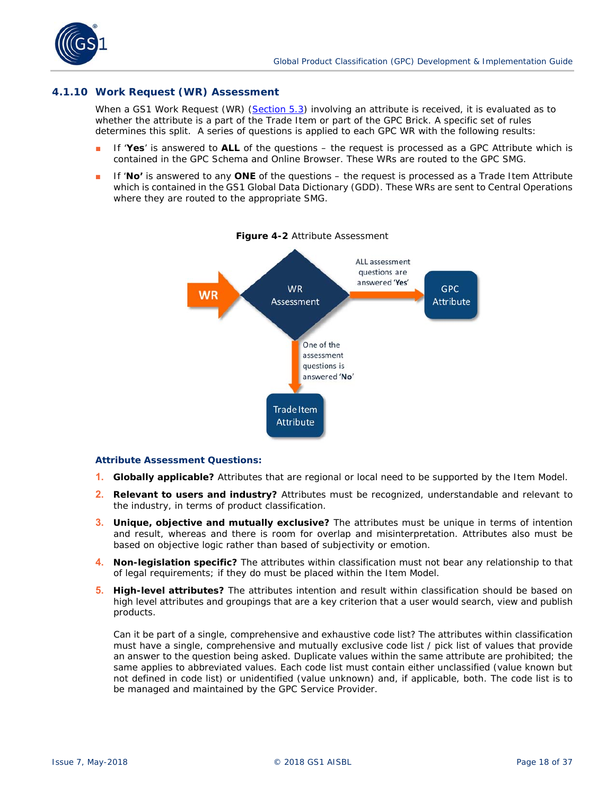<span id="page-17-0"></span>

### **4.1.10 Work Request (WR) Assessment**

When a GS1 Work Request (WR) (*[Section 5.3](#page-29-0)*) involving an attribute is received, it is evaluated as to whether the attribute is a part of the Trade Item or part of the GPC Brick. A specific set of rules determines this split. A series of questions is applied to each GPC WR with the following results:

- If 'Yes' is answered to ALL of the questions the request is processed as a GPC Attribute which is contained in the GPC Schema and Online Browser. These WRs are routed to the GPC SMG.
- If '**No'** is answered to any **ONE** of the questions the request is processed as a Trade Item Attribute which is contained in the GS1 Global Data Dictionary (GDD). These WRs are sent to Central Operations where they are routed to the appropriate SMG.



#### **Figure 4-2** Attribute Assessment

#### **Attribute Assessment Questions:**

- **1. Globally applicable?** Attributes that are regional or local need to be supported by the Item Model.
- **2. Relevant to users and industry?** Attributes must be recognized, understandable and relevant to the industry, in terms of product classification.
- **3. Unique, objective and mutually exclusive?** The attributes must be unique in terms of intention and result, whereas and there is room for overlap and misinterpretation. Attributes also must be based on objective logic rather than based of subjectivity or emotion.
- **4. Non-legislation specific?** The attributes within classification must not bear any relationship to that of legal requirements; if they do must be placed within the Item Model.
- **5. High-level attributes?** The attributes intention and result within classification should be based on high level attributes and groupings that are a key criterion that a user would search, view and publish products.

Can it be part of a single, comprehensive and exhaustive code list? The attributes within classification must have a single, comprehensive and mutually exclusive code list / pick list of values that provide an answer to the question being asked. Duplicate values within the same attribute are prohibited; the same applies to abbreviated values. Each code list must contain either unclassified (value known but not defined in code list) or unidentified (value unknown) and, if applicable, both. The code list is to be managed and maintained by the GPC Service Provider.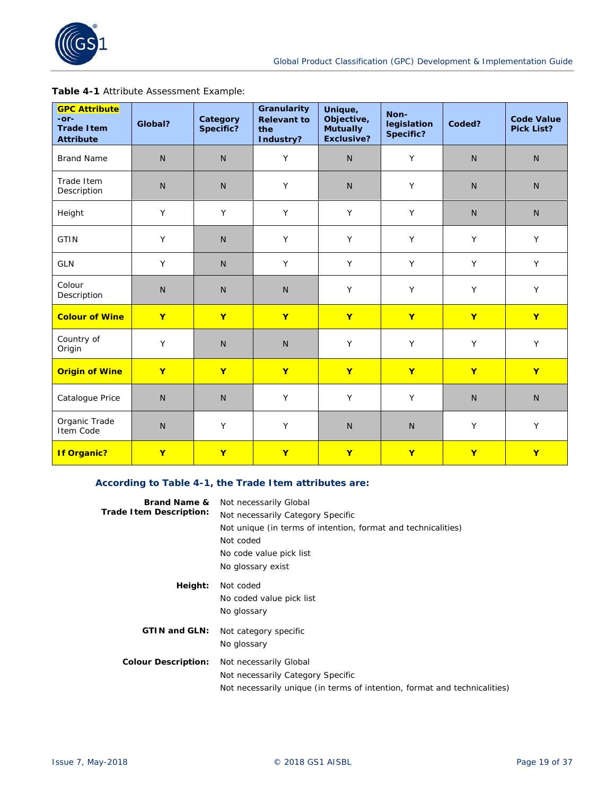

|  |  | Table 4-1 Attribute Assessment Example: |  |
|--|--|-----------------------------------------|--|
|--|--|-----------------------------------------|--|

| <b>GPC Attribute</b><br>-or-<br><b>Trade Item</b><br><b>Attribute</b> | Global?                                      | Category<br>Specific? | Granularity<br><b>Relevant to</b><br>the<br>Industry? | Unique,<br>Objective,<br><b>Mutually</b><br><b>Exclusive?</b> | Non-<br>legislation<br>Specific? | Coded?       | <b>Code Value</b><br><b>Pick List?</b> |  |
|-----------------------------------------------------------------------|----------------------------------------------|-----------------------|-------------------------------------------------------|---------------------------------------------------------------|----------------------------------|--------------|----------------------------------------|--|
| <b>Brand Name</b>                                                     | $\mathsf{N}$                                 | N.                    | Y                                                     | $\mathsf{N}$                                                  | Y                                | $\mathsf{N}$ | $\mathsf{N}$                           |  |
| Trade Item<br>Description                                             | $\mathsf{N}$                                 | N.                    | Y                                                     | $\mathsf{N}$                                                  | Y                                | $\mathsf{N}$ | $\mathsf{N}$                           |  |
| Height                                                                | Y                                            | Y                     | Y                                                     | Y                                                             | Y                                | N.           | N                                      |  |
| <b>GTIN</b>                                                           | Y                                            | $\mathsf{N}$          | Y                                                     | Y                                                             | Y                                | Y            |                                        |  |
| <b>GLN</b>                                                            | Y                                            | $\mathsf{N}$          | Y<br>Y<br>Y                                           |                                                               | Y                                | Y            |                                        |  |
| Colour<br>Description                                                 | $\mathsf{N}$<br>$\mathsf{N}$<br>$\mathsf{N}$ |                       |                                                       | Y                                                             | Y                                | Y            | Y                                      |  |
| <b>Colour of Wine</b>                                                 | $\mathbf{Y}$<br>$\overline{\mathbf{Y}}$<br>Y |                       |                                                       | Y                                                             | Y                                | Y            | $\mathbf{Y}$                           |  |
| Country of<br>Origin                                                  | Y                                            | $\mathsf{N}$          | N                                                     | Y                                                             | Y                                | Y            | Y                                      |  |
| <b>Origin of Wine</b>                                                 | $\mathbf{Y}$                                 | $\mathbf{Y}$          | $\mathbf{Y}$                                          | $\mathbf{Y}$                                                  | $\mathbf{Y}$                     | $\mathbf{Y}$ | $\mathbf{Y}$                           |  |
| Catalogue Price                                                       | $\mathsf{N}$                                 | N.                    | Y                                                     | Y                                                             | Y                                | $\mathsf{N}$ | $\mathsf{N}$                           |  |
| Organic Trade<br>Item Code                                            | Y<br>Y<br>$\mathsf{N}$                       |                       |                                                       | $\mathsf{N}$<br>$\mathsf{N}$                                  |                                  | Y            | Y                                      |  |
| <b>If Organic?</b>                                                    | $\mathbf{Y}$                                 | $\mathbf{Y}$          | $\mathbf{Y}$                                          | Y                                                             | $\mathbf{Y}$                     | Y            | Y                                      |  |

# **According to Table 4-1, the Trade Item attributes are:**

| <b>Brand Name &amp;</b>    | Not necessarily Global                                                    |
|----------------------------|---------------------------------------------------------------------------|
| Trade Item Description:    | Not necessarily Category Specific                                         |
|                            | Not unique (in terms of intention, format and technicalities)             |
|                            | Not coded                                                                 |
|                            | No code value pick list                                                   |
|                            | No glossary exist                                                         |
| Height:                    | Not coded                                                                 |
|                            | No coded value pick list                                                  |
|                            | No glossary                                                               |
| <b>GTIN and GLN:</b>       | Not category specific                                                     |
|                            | No glossary                                                               |
| <b>Colour Description:</b> | Not necessarily Global                                                    |
|                            | Not necessarily Category Specific                                         |
|                            | Not necessarily unique (in terms of intention, format and technicalities) |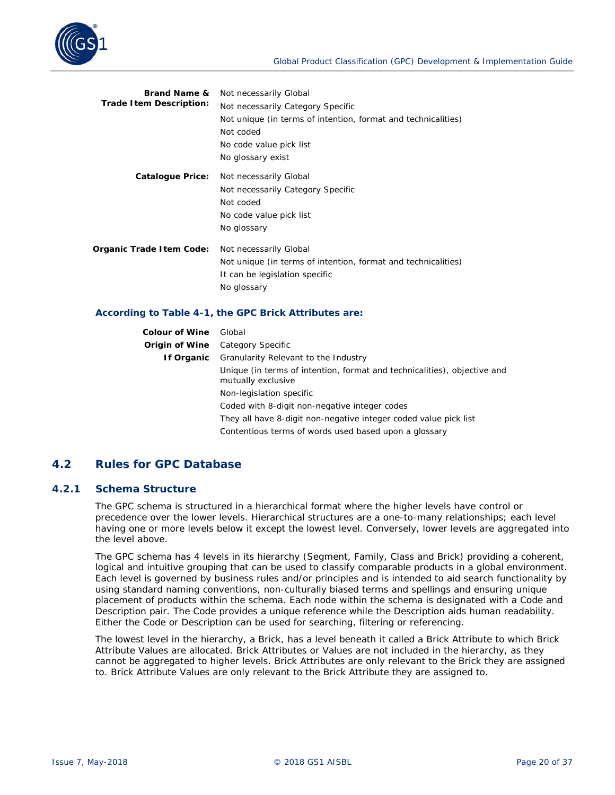

| Not necessarily Global                                        |  |  |  |  |  |
|---------------------------------------------------------------|--|--|--|--|--|
| Not necessarily Category Specific                             |  |  |  |  |  |
| Not unique (in terms of intention, format and technicalities) |  |  |  |  |  |
| Not coded                                                     |  |  |  |  |  |
| No code value pick list                                       |  |  |  |  |  |
| No glossary exist                                             |  |  |  |  |  |
| Not necessarily Global                                        |  |  |  |  |  |
| Not necessarily Category Specific                             |  |  |  |  |  |
| Not coded                                                     |  |  |  |  |  |
| No code value pick list                                       |  |  |  |  |  |
| No glossary                                                   |  |  |  |  |  |
| Not necessarily Global                                        |  |  |  |  |  |
| Not unique (in terms of intention, format and technicalities) |  |  |  |  |  |
| It can be legislation specific                                |  |  |  |  |  |
| No glossary                                                   |  |  |  |  |  |
|                                                               |  |  |  |  |  |

#### **According to Table 4-1, the GPC Brick Attributes are:**

| <b>Colour of Wine</b> Global |                                                                                                |  |  |  |  |  |
|------------------------------|------------------------------------------------------------------------------------------------|--|--|--|--|--|
|                              | <b>Origin of Wine</b> Category Specific                                                        |  |  |  |  |  |
| If Organic                   | Granularity Relevant to the Industry                                                           |  |  |  |  |  |
|                              | Unique (in terms of intention, format and technicalities), objective and<br>mutually exclusive |  |  |  |  |  |
| Non-legislation specific     |                                                                                                |  |  |  |  |  |
|                              | Coded with 8-digit non-negative integer codes                                                  |  |  |  |  |  |
|                              | They all have 8-digit non-negative integer coded value pick list                               |  |  |  |  |  |
|                              | Contentious terms of words used based upon a glossary                                          |  |  |  |  |  |

# **4.2 Rules for GPC Database**

#### **4.2.1 Schema Structure**

The GPC schema is structured in a hierarchical format where the higher levels have control or precedence over the lower levels. Hierarchical structures are a one-to-many relationships; each level having one or more levels below it except the lowest level. Conversely, lower levels are aggregated into the level above.

The GPC schema has 4 levels in its hierarchy (Segment, Family, Class and Brick) providing a coherent, logical and intuitive grouping that can be used to classify comparable products in a global environment. Each level is governed by business rules and/or principles and is intended to aid search functionality by using standard naming conventions, non-culturally biased terms and spellings and ensuring unique placement of products within the schema. Each node within the schema is designated with a Code and Description pair. The Code provides a unique reference while the Description aids human readability. Either the Code or Description can be used for searching, filtering or referencing.

The lowest level in the hierarchy, a Brick, has a level beneath it called a Brick Attribute to which Brick Attribute Values are allocated. Brick Attributes or Values are not included in the hierarchy, as they cannot be aggregated to higher levels. Brick Attributes are only relevant to the Brick they are assigned to. Brick Attribute Values are only relevant to the Brick Attribute they are assigned to.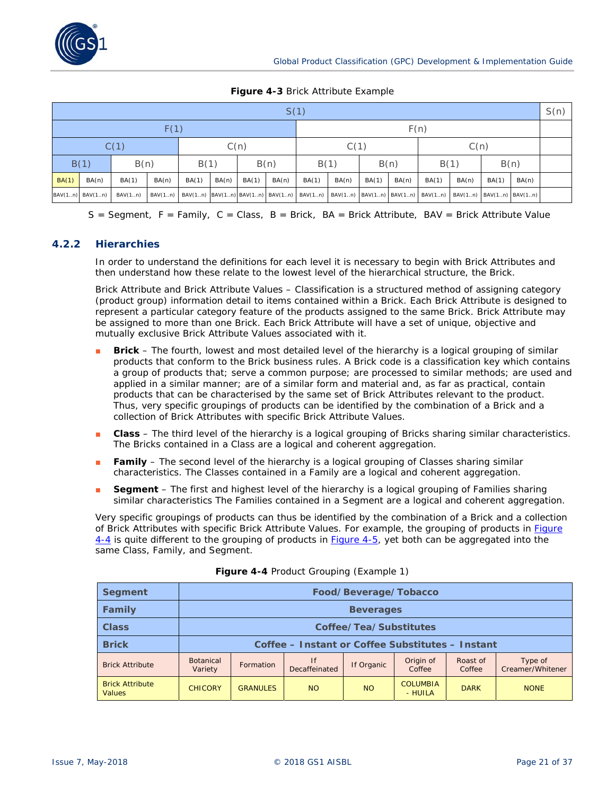

#### **Figure 4-3** Brick Attribute Example

| S(1)         |                 |              |         |              |              |       |       |       |       |       | S(n)  |                                                                                                         |       |       |       |  |
|--------------|-----------------|--------------|---------|--------------|--------------|-------|-------|-------|-------|-------|-------|---------------------------------------------------------------------------------------------------------|-------|-------|-------|--|
| F(1)         |                 |              |         |              |              |       | F(n)  |       |       |       |       |                                                                                                         |       |       |       |  |
| C(1)<br>C(n) |                 |              |         |              | C(1)<br>C(n) |       |       |       |       |       |       |                                                                                                         |       |       |       |  |
| B(1)<br>B(n) |                 | B(n)<br>B(1) |         | B(n)<br>B(1) |              | B(1)  |       | B(n)  |       |       |       |                                                                                                         |       |       |       |  |
| BA(1)        | BA(n)           | BA(1)        | BA(n)   | BA(1)        | BA(n)        | BA(1) | BA(n) | BA(1) | BA(n) | BA(1) | BA(n) | BA(1)                                                                                                   | BA(n) | BA(1) | BA(n) |  |
|              | BAV(1n) BAV(1n) | BAV(1n)      | BAV(1n) |              |              |       |       |       |       |       |       | BAV(1n) BAV(1n) BAV(1n) BAV(1n) BAV(1n) BAV(1n) BAV(1n) BAV(1n) BAV(1n) BAV(1n) BAV(1n) BAV(1n) BAV(1n) |       |       |       |  |

 $S =$  Segment,  $F =$  Family,  $C =$  Class,  $B =$  Brick,  $BA =$  Brick Attribute, BAV = Brick Attribute Value

# **4.2.2 Hierarchies**

In order to understand the definitions for each level it is necessary to begin with Brick Attributes and then understand how these relate to the lowest level of the hierarchical structure, the Brick.

Brick Attribute and Brick Attribute Values – Classification is a structured method of assigning category (product group) information detail to items contained within a Brick. Each Brick Attribute is designed to represent a particular category feature of the products assigned to the same Brick. Brick Attribute may be assigned to more than one Brick. Each Brick Attribute will have a set of unique, objective and mutually exclusive Brick Attribute Values associated with it.

- **Brick** The fourth, lowest and most detailed level of the hierarchy is a logical grouping of similar products that conform to the Brick business rules. A Brick code is a classification key which contains a group of products that; serve a common purpose; are processed to similar methods; are used and applied in a similar manner; are of a similar form and material and, as far as practical, contain products that can be characterised by the same set of Brick Attributes relevant to the product. Thus, very specific groupings of products can be identified by the combination of a Brick and a collection of Brick Attributes with specific Brick Attribute Values.
- **Class** The third level of the hierarchy is a logical grouping of Bricks sharing similar characteristics. The Bricks contained in a Class are a logical and coherent aggregation.
- **Family** The second level of the hierarchy is a logical grouping of Classes sharing similar characteristics. The Classes contained in a Family are a logical and coherent aggregation.
- **Begment** The first and highest level of the hierarchy is a logical grouping of Families sharing similar characteristics The Families contained in a Segment are a logical and coherent aggregation.

Very specific groupings of products can thus be identified by the combination of a Brick and a collection of Brick Attributes with specific Brick Attribute Values. For example, the grouping of products in *[Figure](#page-24-0)  [4-4](#page-24-0)* is quite different to the grouping of products in *[Figure 4-5](#page-25-0)*, yet both can be aggregated into the same Class, Family, and Segment.

| <b>Segment</b>                          | Food/Beverage/Tobacco       |                                                  |                     |            |                            |                    |                             |
|-----------------------------------------|-----------------------------|--------------------------------------------------|---------------------|------------|----------------------------|--------------------|-----------------------------|
| <b>Family</b>                           |                             | <b>Beverages</b>                                 |                     |            |                            |                    |                             |
| <b>Class</b>                            |                             | Coffee/Tea/Substitutes                           |                     |            |                            |                    |                             |
| <b>Brick</b>                            |                             | Coffee – Instant or Coffee Substitutes – Instant |                     |            |                            |                    |                             |
| <b>Brick Attribute</b>                  | <b>Botanical</b><br>Variety | Formation                                        | ١f<br>Decaffeinated | If Organic | Origin of<br>Coffee        | Roast of<br>Coffee | Type of<br>Creamer/Whitener |
| <b>Brick Attribute</b><br><b>Values</b> | <b>CHICORY</b>              | <b>GRANULES</b>                                  | <b>NO</b>           | <b>NO</b>  | <b>COLUMBIA</b><br>- HUILA | <b>DARK</b>        | <b>NONE</b>                 |

#### **Figure 4-4** Product Grouping (Example 1)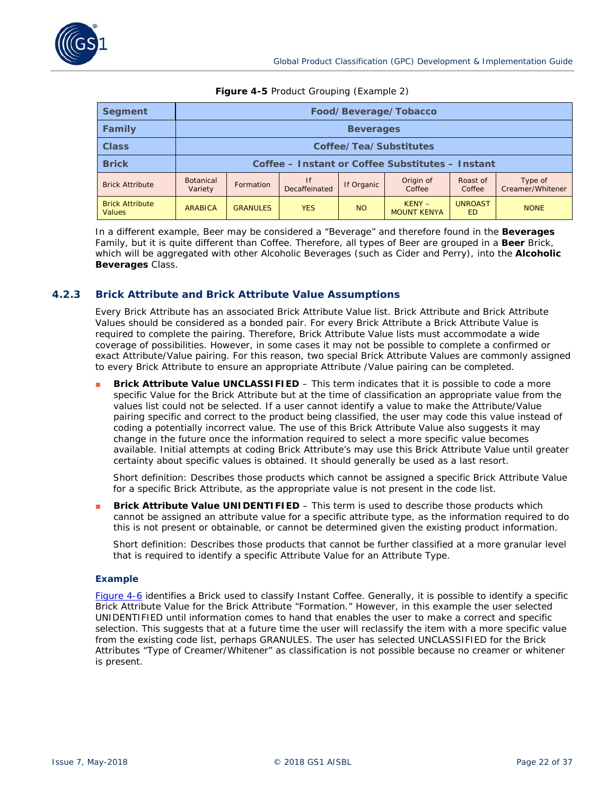

| <b>Segment</b>                          | Food/Beverage/Tobacco                            |                        |                     |            |                                |                             |                             |
|-----------------------------------------|--------------------------------------------------|------------------------|---------------------|------------|--------------------------------|-----------------------------|-----------------------------|
| Family                                  |                                                  | <b>Beverages</b>       |                     |            |                                |                             |                             |
| <b>Class</b>                            |                                                  | Coffee/Tea/Substitutes |                     |            |                                |                             |                             |
| <b>Brick</b>                            | Coffee – Instant or Coffee Substitutes – Instant |                        |                     |            |                                |                             |                             |
| <b>Brick Attribute</b>                  | <b>Botanical</b><br>Variety                      | Formation              | If<br>Decaffeinated | If Organic | Origin of<br>Coffee            | Roast of<br>Coffee          | Type of<br>Creamer/Whitener |
| <b>Brick Attribute</b><br><b>Values</b> | ARABICA                                          | <b>GRANULES</b>        | <b>YES</b>          | <b>NO</b>  | $KENY -$<br><b>MOUNT KENYA</b> | <b>UNROAST</b><br><b>ED</b> | <b>NONE</b>                 |

#### **Figure 4-5** Product Grouping (Example 2)

In a different example, Beer may be considered a "Beverage" and therefore found in the *Beverages* Family, but it is quite different than Coffee. Therefore, all types of Beer are grouped in a *Beer* Brick, which will be aggregated with other Alcoholic Beverages (such as Cider and Perry), into the *Alcoholic Beverages* Class.

### **4.2.3 Brick Attribute and Brick Attribute Value Assumptions**

Every Brick Attribute has an associated Brick Attribute Value list. Brick Attribute and Brick Attribute Values should be considered as a bonded pair. For every Brick Attribute a Brick Attribute Value is required to complete the pairing. Therefore, Brick Attribute Value lists must accommodate a wide coverage of possibilities. However, in some cases it may not be possible to complete a confirmed or exact Attribute/Value pairing. For this reason, two special Brick Attribute Values are commonly assigned to every Brick Attribute to ensure an appropriate Attribute /Value pairing can be completed.

**Brick Attribute Value UNCLASSIFIED** – This term indicates that it is possible to code a more specific Value for the Brick Attribute but at the time of classification an appropriate value from the values list could not be selected. If a user cannot identify a value to make the Attribute/Value pairing specific and correct to the product being classified, the user may code this value instead of coding a potentially incorrect value. The use of this Brick Attribute Value also suggests it may change in the future once the information required to select a more specific value becomes available. Initial attempts at coding Brick Attribute's may use this Brick Attribute Value until greater certainty about specific values is obtained. It should generally be used as a last resort.

Short definition: Describes those products which cannot be assigned a specific Brick Attribute Value for a specific Brick Attribute, as the appropriate value is not present in the code list.

**Brick Attribute Value UNIDENTIFIED** – This term is used to describe those products which cannot be assigned an attribute value for a specific attribute type, as the information required to do this is not present or obtainable, or cannot be determined given the existing product information.

Short definition: Describes those products that cannot be further classified at a more granular level that is required to identify a specific Attribute Value for an Attribute Type.

#### **Example**

*[Figure 4-6](#page-26-0)* identifies a Brick used to classify Instant Coffee. Generally, it is possible to identify a specific Brick Attribute Value for the Brick Attribute "Formation." However, in this example the user selected UNIDENTIFIED until information comes to hand that enables the user to make a correct and specific selection. This suggests that at a future time the user will reclassify the item with a more specific value from the existing code list, perhaps GRANULES. The user has selected UNCLASSIFIED for the Brick Attributes "Type of Creamer/Whitener" as classification is not possible because no creamer or whitener is present.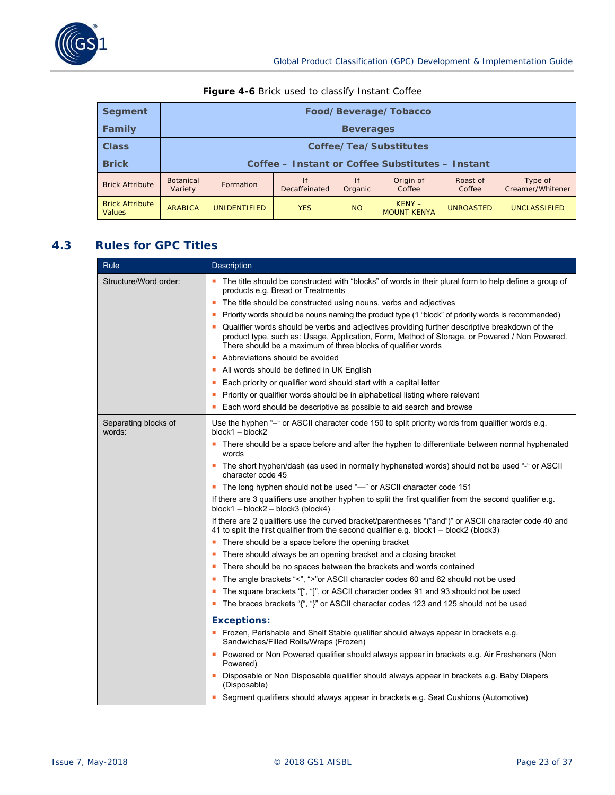

| <b>Segment</b>                          |                             | Food/Beverage/Tobacco                            |                     |               |                                |                    |                             |
|-----------------------------------------|-----------------------------|--------------------------------------------------|---------------------|---------------|--------------------------------|--------------------|-----------------------------|
| <b>Family</b>                           |                             | <b>Beverages</b>                                 |                     |               |                                |                    |                             |
| <b>Class</b>                            |                             | Coffee/Tea/Substitutes                           |                     |               |                                |                    |                             |
| <b>Brick</b>                            |                             | Coffee - Instant or Coffee Substitutes - Instant |                     |               |                                |                    |                             |
| <b>Brick Attribute</b>                  | <b>Botanical</b><br>Variety | Formation                                        | If<br>Decaffeinated | If<br>Organic | Origin of<br>Coffee            | Roast of<br>Coffee | Type of<br>Creamer/Whitener |
| <b>Brick Attribute</b><br><b>Values</b> | ARABICA                     | <b>UNIDENTIFIED</b>                              | <b>YES</b>          | <b>NO</b>     | $KENY -$<br><b>MOUNT KENYA</b> | <b>UNROASTED</b>   | <b>UNCLASSIFIED</b>         |

# **Figure 4-6** Brick used to classify Instant Coffee

# **4.3 Rules for GPC Titles**

| Rule                           | <b>Description</b>                                                                                                                                                                                                                                             |
|--------------------------------|----------------------------------------------------------------------------------------------------------------------------------------------------------------------------------------------------------------------------------------------------------------|
| Structure/Word order:          | • The title should be constructed with "blocks" of words in their plural form to help define a group of<br>products e.g. Bread or Treatments                                                                                                                   |
|                                | The title should be constructed using nouns, verbs and adjectives<br>٠                                                                                                                                                                                         |
|                                | Priority words should be nouns naming the product type (1 "block" of priority words is recommended)<br>п                                                                                                                                                       |
|                                | Qualifier words should be verbs and adjectives providing further descriptive breakdown of the<br>product type, such as: Usage, Application, Form, Method of Storage, or Powered / Non Powered.<br>There should be a maximum of three blocks of qualifier words |
|                                | Abbreviations should be avoided                                                                                                                                                                                                                                |
|                                | All words should be defined in UK English                                                                                                                                                                                                                      |
|                                | Each priority or qualifier word should start with a capital letter<br>ш                                                                                                                                                                                        |
|                                | Priority or qualifier words should be in alphabetical listing where relevant<br>п                                                                                                                                                                              |
|                                | Each word should be descriptive as possible to aid search and browse                                                                                                                                                                                           |
| Separating blocks of<br>words: | Use the hyphen "-" or ASCII character code 150 to split priority words from qualifier words e.g.<br>$block2 - block$                                                                                                                                           |
|                                | There should be a space before and after the hyphen to differentiate between normal hyphenated<br>words                                                                                                                                                        |
|                                | The short hyphen/dash (as used in normally hyphenated words) should not be used "-" or ASCII<br>character code 45                                                                                                                                              |
|                                | The long hyphen should not be used "-" or ASCII character code 151                                                                                                                                                                                             |
|                                | If there are 3 qualifiers use another hyphen to split the first qualifier from the second qualifier e.g.<br>block1 - block2 - block3 (block4)                                                                                                                  |
|                                | If there are 2 qualifiers use the curved bracket/parentheses "("and")" or ASCII character code 40 and<br>41 to split the first qualifier from the second qualifier e.g. block1 - block2 (block3)                                                               |
|                                | There should be a space before the opening bracket                                                                                                                                                                                                             |
|                                | There should always be an opening bracket and a closing bracket                                                                                                                                                                                                |
|                                | There should be no spaces between the brackets and words contained                                                                                                                                                                                             |
|                                | The angle brackets "<", ">"or ASCII character codes 60 and 62 should not be used                                                                                                                                                                               |
|                                | The square brackets "[", "]", or ASCII character codes 91 and 93 should not be used                                                                                                                                                                            |
|                                | The braces brackets "{", "}" or ASCII character codes 123 and 125 should not be used                                                                                                                                                                           |
|                                | <b>Exceptions:</b>                                                                                                                                                                                                                                             |
|                                | Frozen, Perishable and Shelf Stable qualifier should always appear in brackets e.g.<br>Sandwiches/Filled Rolls/Wraps (Frozen)                                                                                                                                  |
|                                | Powered or Non Powered qualifier should always appear in brackets e.g. Air Fresheners (Non<br>Powered)                                                                                                                                                         |
|                                | Disposable or Non Disposable qualifier should always appear in brackets e.g. Baby Diapers<br>(Disposable)                                                                                                                                                      |
|                                | Segment qualifiers should always appear in brackets e.g. Seat Cushions (Automotive)                                                                                                                                                                            |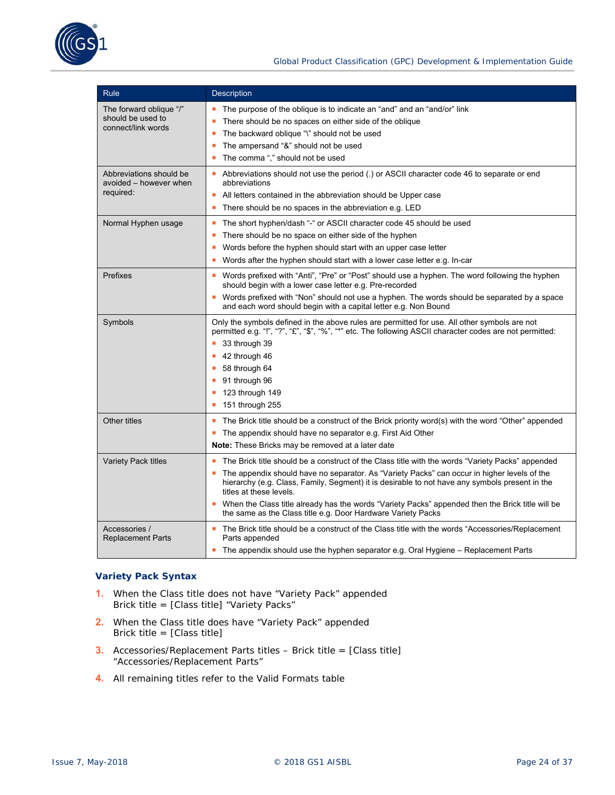

| Rule                                                               | <b>Description</b>                                                                                                                                                                                                                                                                                                                                                                                                                                                                                 |
|--------------------------------------------------------------------|----------------------------------------------------------------------------------------------------------------------------------------------------------------------------------------------------------------------------------------------------------------------------------------------------------------------------------------------------------------------------------------------------------------------------------------------------------------------------------------------------|
| The forward oblique "/"<br>should be used to<br>connect/link words | The purpose of the oblique is to indicate an "and" and an "and/or" link<br>There should be no spaces on either side of the oblique<br>The backward oblique "\" should not be used<br>٠<br>The ampersand "&" should not be used<br>п<br>The comma "," should not be used<br>п                                                                                                                                                                                                                       |
| Abbreviations should be<br>avoided – however when<br>required:     | Abbreviations should not use the period (.) or ASCII character code 46 to separate or end<br>abbreviations<br>All letters contained in the abbreviation should be Upper case<br>There should be no spaces in the abbreviation e.g. LED<br>ш                                                                                                                                                                                                                                                        |
| Normal Hyphen usage                                                | The short hyphen/dash "-" or ASCII character code 45 should be used<br>ш<br>There should be no space on either side of the hyphen<br>п<br>Words before the hyphen should start with an upper case letter<br>Words after the hyphen should start with a lower case letter e.g. In-car<br>٠                                                                                                                                                                                                          |
| Prefixes                                                           | ■ Words prefixed with "Anti", "Pre" or "Post" should use a hyphen. The word following the hyphen<br>should begin with a lower case letter e.g. Pre-recorded<br>Words prefixed with "Non" should not use a hyphen. The words should be separated by a space<br>and each word should begin with a capital letter e.g. Non Bound                                                                                                                                                                      |
| Symbols                                                            | Only the symbols defined in the above rules are permitted for use. All other symbols are not<br>permitted e.g. "!", "?", "£", "\$", "%", "*" etc. The following ASCII character codes are not permitted:<br>33 through 39<br>42 through 46<br>ш<br>58 through 64<br>п<br>91 through 96<br>123 through 149<br>п<br>151 through 255<br>٠                                                                                                                                                             |
| Other titles                                                       | The Brick title should be a construct of the Brick priority word(s) with the word "Other" appended<br>ш<br>The appendix should have no separator e.g. First Aid Other<br>ш<br><b>Note:</b> These Bricks may be removed at a later date                                                                                                                                                                                                                                                             |
| <b>Variety Pack titles</b>                                         | The Brick title should be a construct of the Class title with the words "Variety Packs" appended<br>The appendix should have no separator. As "Variety Packs" can occur in higher levels of the<br>hierarchy (e.g. Class, Family, Segment) it is desirable to not have any symbols present in the<br>titles at these levels.<br>• When the Class title already has the words "Variety Packs" appended then the Brick title will be<br>the same as the Class title e.g. Door Hardware Variety Packs |
| Accessories /<br><b>Replacement Parts</b>                          | ■ The Brick title should be a construct of the Class title with the words "Accessories/Replacement"<br>Parts appended<br>The appendix should use the hyphen separator e.g. Oral Hygiene - Replacement Parts                                                                                                                                                                                                                                                                                        |

# **Variety Pack Syntax**

- **1.** When the Class title does not have "Variety Pack" appended Brick title = [Class title] "Variety Packs"
- **2.** When the Class title does have "Variety Pack" appended Brick title = [Class title]
- **3.** Accessories/Replacement Parts titles Brick title = [Class title] "Accessories/Replacement Parts"
- **4.** All remaining titles refer to the Valid Formats table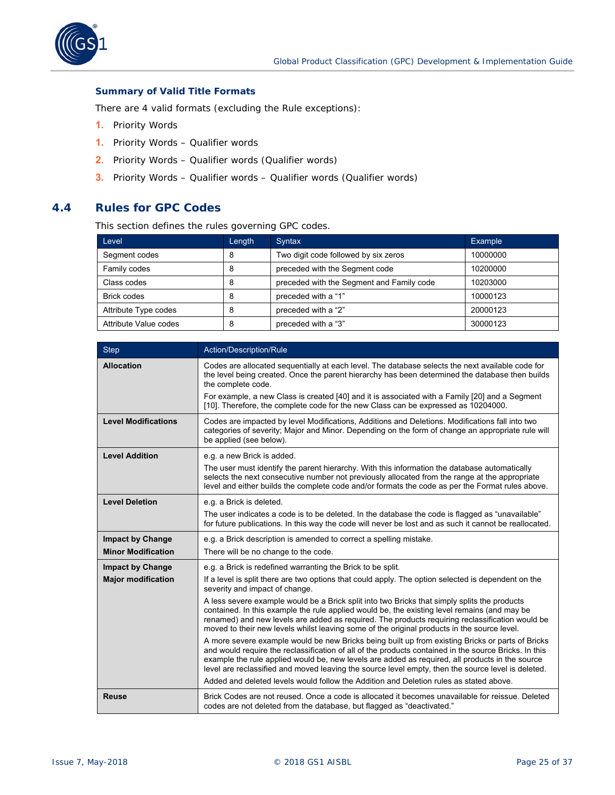<span id="page-24-0"></span>

#### **Summary of Valid Title Formats**

There are 4 valid formats (excluding the Rule exceptions):

- **1.** Priority Words
- **1.** Priority Words Qualifier words
- **2.** Priority Words Qualifier words (Qualifier words)
- **3.** Priority Words Qualifier words Qualifier words (Qualifier words)

# **4.4 Rules for GPC Codes**

This section defines the rules governing GPC codes.

| Level                 | Length | Syntax                                    | Example  |
|-----------------------|--------|-------------------------------------------|----------|
| Segment codes         |        | Two digit code followed by six zeros      | 10000000 |
| Family codes          | 8      | preceded with the Segment code            | 10200000 |
| Class codes           | 8      | preceded with the Segment and Family code | 10203000 |
| <b>Brick codes</b>    | 8      | preceded with a "1"                       | 10000123 |
| Attribute Type codes  |        | preceded with a "2"                       | 20000123 |
| Attribute Value codes |        | preceded with a "3"                       | 30000123 |

| <b>Step</b>                | Action/Description/Rule                                                                                                                                                                                                                                                                                                                                                                                            |
|----------------------------|--------------------------------------------------------------------------------------------------------------------------------------------------------------------------------------------------------------------------------------------------------------------------------------------------------------------------------------------------------------------------------------------------------------------|
| <b>Allocation</b>          | Codes are allocated sequentially at each level. The database selects the next available code for<br>the level being created. Once the parent hierarchy has been determined the database then builds<br>the complete code.                                                                                                                                                                                          |
|                            | For example, a new Class is created [40] and it is associated with a Family [20] and a Segment<br>[10]. Therefore, the complete code for the new Class can be expressed as 10204000.                                                                                                                                                                                                                               |
| <b>Level Modifications</b> | Codes are impacted by level Modifications, Additions and Deletions. Modifications fall into two<br>categories of severity; Major and Minor. Depending on the form of change an appropriate rule will<br>be applied (see below).                                                                                                                                                                                    |
| <b>Level Addition</b>      | e.g. a new Brick is added.                                                                                                                                                                                                                                                                                                                                                                                         |
|                            | The user must identify the parent hierarchy. With this information the database automatically<br>selects the next consecutive number not previously allocated from the range at the appropriate<br>level and either builds the complete code and/or formats the code as per the Format rules above.                                                                                                                |
| <b>Level Deletion</b>      | e.g. a Brick is deleted.                                                                                                                                                                                                                                                                                                                                                                                           |
|                            | The user indicates a code is to be deleted. In the database the code is flagged as "unavailable"<br>for future publications. In this way the code will never be lost and as such it cannot be reallocated.                                                                                                                                                                                                         |
| <b>Impact by Change</b>    | e.g. a Brick description is amended to correct a spelling mistake.                                                                                                                                                                                                                                                                                                                                                 |
| <b>Minor Modification</b>  | There will be no change to the code.                                                                                                                                                                                                                                                                                                                                                                               |
| <b>Impact by Change</b>    | e.g. a Brick is redefined warranting the Brick to be split.                                                                                                                                                                                                                                                                                                                                                        |
| <b>Major modification</b>  | If a level is split there are two options that could apply. The option selected is dependent on the<br>severity and impact of change.                                                                                                                                                                                                                                                                              |
|                            | A less severe example would be a Brick split into two Bricks that simply splits the products<br>contained. In this example the rule applied would be, the existing level remains (and may be<br>renamed) and new levels are added as required. The products requiring reclassification would be<br>moved to their new levels whilst leaving some of the original products in the source level.                     |
|                            | A more severe example would be new Bricks being built up from existing Bricks or parts of Bricks<br>and would require the reclassification of all of the products contained in the source Bricks. In this<br>example the rule applied would be, new levels are added as required, all products in the source<br>level are reclassified and moved leaving the source level empty, then the source level is deleted. |
|                            | Added and deleted levels would follow the Addition and Deletion rules as stated above.                                                                                                                                                                                                                                                                                                                             |
| <b>Reuse</b>               | Brick Codes are not reused. Once a code is allocated it becomes unavailable for reissue. Deleted<br>codes are not deleted from the database, but flagged as "deactivated."                                                                                                                                                                                                                                         |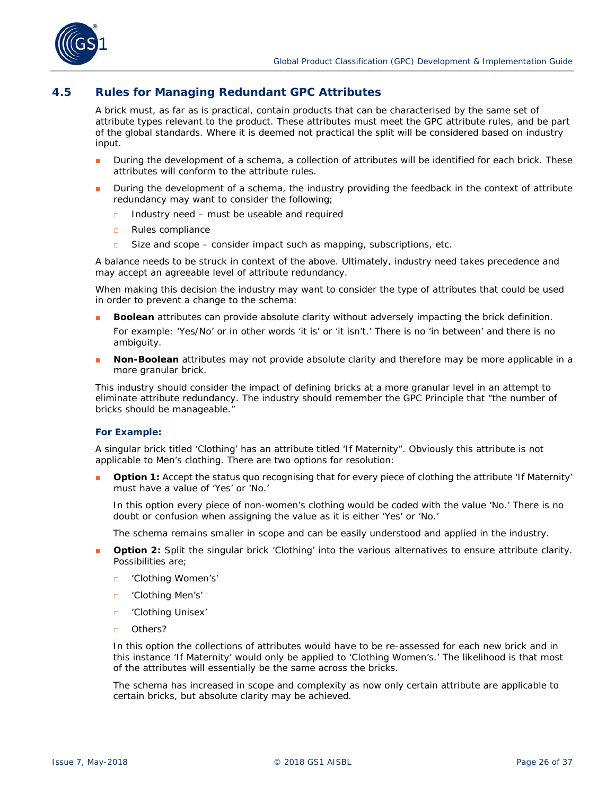<span id="page-25-0"></span>

# **4.5 Rules for Managing Redundant GPC Attributes**

A brick must, as far as is practical, contain products that can be characterised by the same set of attribute types relevant to the product. These attributes must meet the GPC attribute rules, and be part of the global standards. Where it is deemed not practical the split will be considered based on industry input.

- During the development of a schema, a collection of attributes will be identified for each brick. These attributes will conform to the attribute rules.
- During the development of a schema, the industry providing the feedback in the context of attribute redundancy may want to consider the following;
	- □ Industry need must be useable and required
	- □ Rules compliance
	- □ Size and scope consider impact such as mapping, subscriptions, etc.

A balance needs to be struck in context of the above. Ultimately, industry need takes precedence and may accept an agreeable level of attribute redundancy.

When making this decision the industry may want to consider the type of attributes that could be used in order to prevent a change to the schema:

- **Boolean** attributes can provide absolute clarity without adversely impacting the brick definition. For example: 'Yes/No' or in other words 'it is' or 'it isn't.' There is no 'in between' and there is no ambiguity.
- Non-Boolean attributes may not provide absolute clarity and therefore may be more applicable in a more granular brick.

This industry should consider the impact of defining bricks at a more granular level in an attempt to eliminate attribute redundancy. The industry should remember the GPC Principle that "the number of bricks should be manageable."

#### **For Example:**

A singular brick titled 'Clothing' has an attribute titled 'If Maternity". Obviously this attribute is not applicable to Men's clothing. There are two options for resolution:

**Option 1:** Accept the status quo recognising that for every piece of clothing the attribute 'If Maternity' must have a value of 'Yes' or 'No.'

In this option every piece of non-women's clothing would be coded with the value 'No.' There is no doubt or confusion when assigning the value as it is either 'Yes' or 'No.'

The schema remains smaller in scope and can be easily understood and applied in the industry.

- **Option 2:** Split the singular brick 'Clothing' into the various alternatives to ensure attribute clarity. Possibilities are;
	- □ 'Clothing Women's'
	- □ 'Clothing Men's'
	- □ 'Clothing Unisex'
	- □ Others?

In this option the collections of attributes would have to be re-assessed for each new brick and in this instance 'If Maternity' would only be applied to 'Clothing Women's.' The likelihood is that most of the attributes will essentially be the same across the bricks.

The schema has increased in scope and complexity as now only certain attribute are applicable to certain bricks, but absolute clarity may be achieved.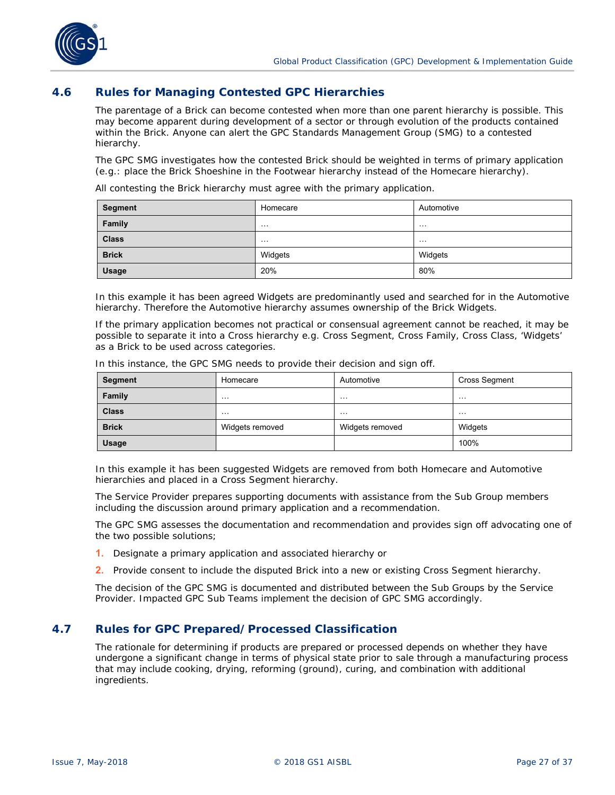<span id="page-26-0"></span>

# **4.6 Rules for Managing Contested GPC Hierarchies**

The parentage of a Brick can become contested when more than one parent hierarchy is possible. This may become apparent during development of a sector or through evolution of the products contained within the Brick. Anyone can alert the GPC Standards Management Group (SMG) to a contested hierarchy.

The GPC SMG investigates how the contested Brick should be weighted in terms of primary application (e.g.: place the Brick Shoeshine in the Footwear hierarchy instead of the Homecare hierarchy).

All contesting the Brick hierarchy must agree with the primary application.

| Segment      | Homecare | Automotive |
|--------------|----------|------------|
| Family       | .        | .          |
| <b>Class</b> | $\cdots$ | $\cdots$   |
| <b>Brick</b> | Widgets  | Widgets    |
| <b>Usage</b> | 20%      | 80%        |

In this example it has been agreed Widgets are predominantly used and searched for in the Automotive hierarchy. Therefore the Automotive hierarchy assumes ownership of the Brick Widgets.

If the primary application becomes not practical or consensual agreement cannot be reached, it may be possible to separate it into a Cross hierarchy e.g. Cross Segment, Cross Family, Cross Class, 'Widgets' as a Brick to be used across categories.

In this instance, the GPC SMG needs to provide their decision and sign off.

| Segment      | Homecare        | Automotive      | <b>Cross Segment</b> |
|--------------|-----------------|-----------------|----------------------|
| Family       | .               | .               | .                    |
| <b>Class</b> | .               | .               | .                    |
| <b>Brick</b> | Widgets removed | Widgets removed | Widgets              |
| <b>Usage</b> |                 |                 | 100%                 |

In this example it has been suggested Widgets are removed from both Homecare and Automotive hierarchies and placed in a Cross Segment hierarchy.

The Service Provider prepares supporting documents with assistance from the Sub Group members including the discussion around primary application and a recommendation.

The GPC SMG assesses the documentation and recommendation and provides sign off advocating one of the two possible solutions;

- **1.** Designate a primary application and associated hierarchy or
- **2.** Provide consent to include the disputed Brick into a new or existing Cross Segment hierarchy.

The decision of the GPC SMG is documented and distributed between the Sub Groups by the Service Provider. Impacted GPC Sub Teams implement the decision of GPC SMG accordingly.

# **4.7 Rules for GPC Prepared/Processed Classification**

The rationale for determining if products are prepared or processed depends on whether they have undergone a significant change in terms of physical state prior to sale through a manufacturing process that may include cooking, drying, reforming (ground), curing, and combination with additional ingredients.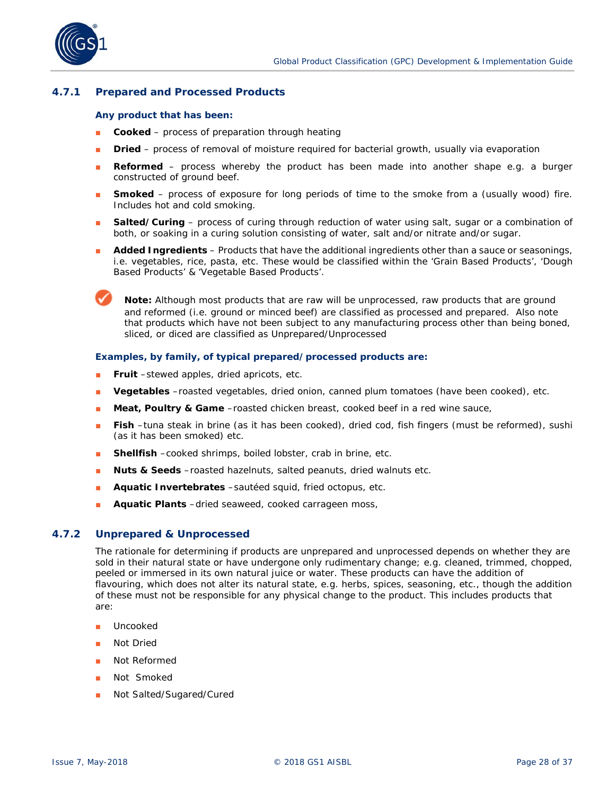

# **4.7.1 Prepared and Processed Products**

#### **Any product that has been:**

- **Cooked** process of preparation through heating
- **Dried** process of removal of moisture required for bacterial growth, usually via evaporation
- **Reformed** process whereby the product has been made into another shape e.g. a burger constructed of ground beef.
- **Bubban Smoked** process of exposure for long periods of time to the smoke from a (usually wood) fire. Includes hot and cold smoking.
- **Salted/Curing** process of curing through reduction of water using salt, sugar or a combination of both, or soaking in a curing solution consisting of water, salt and/or nitrate and/or sugar.
- **Added Ingredients** Products that have the additional ingredients other than a sauce or seasonings, i.e. vegetables, rice, pasta, etc. These would be classified within the 'Grain Based Products', 'Dough Based Products' & 'Vegetable Based Products'.

**Note:** Although most products that are raw will be unprocessed, raw products that are ground and reformed (i.e. ground or minced beef) are classified as processed and prepared. Also note that products which have not been subject to any manufacturing process other than being boned, sliced, or diced are classified as Unprepared/Unprocessed

#### **Examples, by family, of typical prepared/processed products are:**

- **Fruit** –stewed apples, dried apricots, etc.
- Vegetables -roasted vegetables, dried onion, canned plum tomatoes (have been cooked), etc.
- **Meat, Poultry & Game** –roasted chicken breast, cooked beef in a red wine sauce,
- **Fish** –tuna steak in brine (as it has been cooked), dried cod, fish fingers (must be reformed), sushi (as it has been smoked) etc.
- **Shellfish** –cooked shrimps, boiled lobster, crab in brine, etc.
- **Nuts & Seeds** –roasted hazelnuts, salted peanuts, dried walnuts etc.
- Aquatic Invertebrates -sautéed squid, fried octopus, etc.
- **Aquatic Plants** –dried seaweed, cooked carrageen moss,

#### **4.7.2 Unprepared & Unprocessed**

The rationale for determining if products are unprepared and unprocessed depends on whether they are sold in their natural state or have undergone only rudimentary change; e.g. cleaned, trimmed, chopped, peeled or immersed in its own natural juice or water. These products can have the addition of flavouring, which does not alter its natural state, e.g. herbs, spices, seasoning, etc., though the addition of these must not be responsible for any physical change to the product. This includes products that are:

- Uncooked
- **Not Dried**
- Not Reformed
- Not Smoked
- Not Salted/Sugared/Cured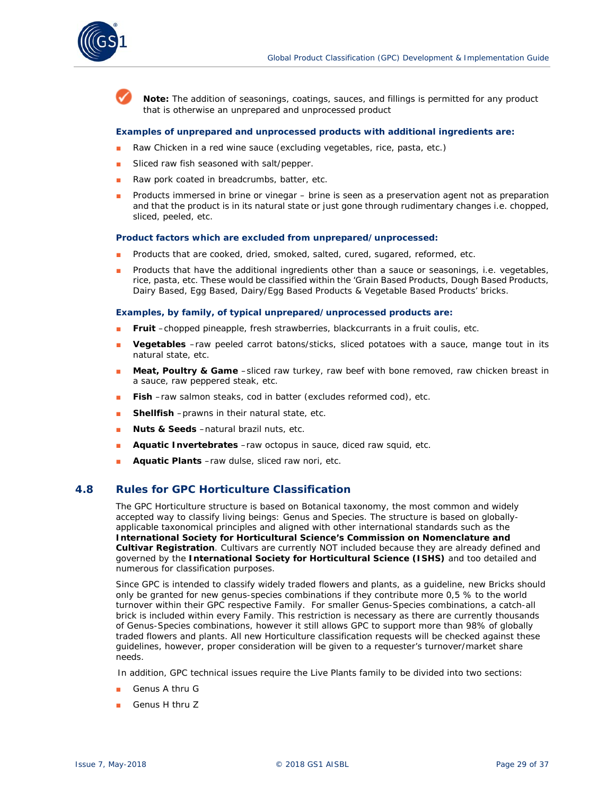

**Note:** The addition of seasonings, coatings, sauces, and fillings is permitted for any product that is otherwise an unprepared and unprocessed product

#### **Examples of unprepared and unprocessed products with additional ingredients are:**

- Raw Chicken in a red wine sauce (excluding vegetables, rice, pasta, etc.)
- Sliced raw fish seasoned with salt/pepper.
- Raw pork coated in breadcrumbs, batter, etc.
- Products immersed in brine or vinegar brine is seen as a preservation agent not as preparation and that the product is in its natural state or just gone through rudimentary changes i.e. chopped, sliced, peeled, etc.

#### **Product factors which are excluded from unprepared/unprocessed:**

- Products that are cooked, dried, smoked, salted, cured, sugared, reformed, etc.
- Products that have the additional ingredients other than a sauce or seasonings, i.e. vegetables, rice, pasta, etc. These would be classified within the 'Grain Based Products, Dough Based Products, Dairy Based, Egg Based, Dairy/Egg Based Products & Vegetable Based Products' bricks.

#### **Examples, by family, of typical unprepared/unprocessed products are:**

- **Fruit** –chopped pineapple, fresh strawberries, blackcurrants in a fruit coulis, etc.
- **Vegetables** –raw peeled carrot batons/sticks, sliced potatoes with a sauce, mange tout in its natural state, etc.
- Meat, Poultry & Game -sliced raw turkey, raw beef with bone removed, raw chicken breast in a sauce, raw peppered steak, etc.
- **Fish** –raw salmon steaks, cod in batter (excludes reformed cod), etc.
- **Shellfish** –prawns in their natural state, etc.
- **Nuts & Seeds** –natural brazil nuts, etc.
- Aquatic Invertebrates –raw octopus in sauce, diced raw squid, etc.
- **Aquatic Plants** –raw dulse, sliced raw nori, etc.

#### **4.8 Rules for GPC Horticulture Classification**

The GPC Horticulture structure is based on Botanical taxonomy, the most common and widely accepted way to classify living beings: Genus and Species. The structure is based on globallyapplicable taxonomical principles and aligned with other international standards such as the *International Society for Horticultural Science's Commission on Nomenclature and Cultivar Registration*. Cultivars are currently NOT included because they are already defined and governed by the *International Society for Horticultural Science (ISHS)* and too detailed and numerous for classification purposes.

Since GPC is intended to classify widely traded flowers and plants, as a guideline, new Bricks should only be granted for new genus-species combinations if they contribute more 0,5 % to the world turnover within their GPC respective Family. For smaller Genus-Species combinations, a catch-all brick is included within every Family. This restriction is necessary as there are currently thousands of Genus-Species combinations, however it still allows GPC to support more than 98% of globally traded flowers and plants. All new Horticulture classification requests will be checked against these guidelines, however, proper consideration will be given to a requester's turnover/market share needs.

In addition, GPC technical issues require the Live Plants family to be divided into two sections:

- Genus A thru G
- Genus H thru Z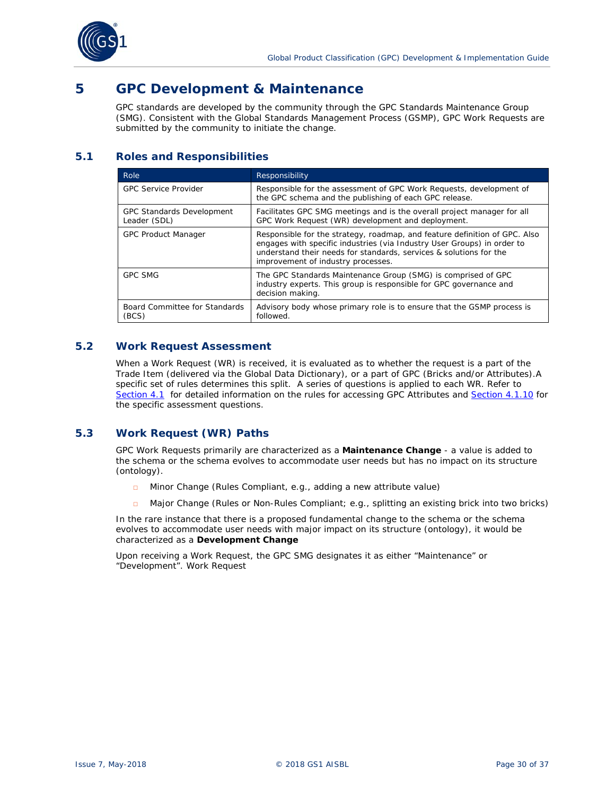<span id="page-29-0"></span>

# **5 GPC Development & Maintenance**

GPC standards are developed by the community through the GPC Standards Maintenance Group (SMG). Consistent with the Global Standards Management Process (GSMP), GPC Work Requests are submitted by the community to initiate the change.

# **5.1 Roles and Responsibilities**

| Role                                             | Responsibility                                                                                                                                                                                                                                                    |
|--------------------------------------------------|-------------------------------------------------------------------------------------------------------------------------------------------------------------------------------------------------------------------------------------------------------------------|
| <b>GPC Service Provider</b>                      | Responsible for the assessment of GPC Work Requests, development of<br>the GPC schema and the publishing of each GPC release.                                                                                                                                     |
| <b>GPC Standards Development</b><br>Leader (SDL) | Facilitates GPC SMG meetings and is the overall project manager for all<br>GPC Work Request (WR) development and deployment.                                                                                                                                      |
| <b>GPC Product Manager</b>                       | Responsible for the strategy, roadmap, and feature definition of GPC. Also<br>engages with specific industries (via Industry User Groups) in order to<br>understand their needs for standards, services & solutions for the<br>improvement of industry processes. |
| <b>GPC SMG</b>                                   | The GPC Standards Maintenance Group (SMG) is comprised of GPC<br>industry experts. This group is responsible for GPC governance and<br>decision making.                                                                                                           |
| Board Committee for Standards<br>(BCS)           | Advisory body whose primary role is to ensure that the GSMP process is<br>followed.                                                                                                                                                                               |

# **5.2 Work Request Assessment**

When a Work Request (WR) is received, it is evaluated as to whether the request is a part of the Trade Item (delivered via the Global Data Dictionary), or a part of GPC (Bricks and/or Attributes).A specific set of rules determines this split. A series of questions is applied to each WR. Refer to *[Section 4.1](#page-10-0)* for detailed information on the rules for accessing GPC Attributes and *[Section 4.1.10](#page-17-0)* for the specific assessment questions.

# **5.3 Work Request (WR) Paths**

GPC Work Requests primarily are characterized as a **Maintenance Change** - a value is added to the schema or the schema evolves to accommodate user needs but has no impact on its structure (ontology).

- □ Minor Change (Rules Compliant, e.g., adding a new attribute value)
- □ Major Change (Rules or Non-Rules Compliant; e.g., splitting an existing brick into two bricks)

In the rare instance that there is a proposed fundamental change to the schema or the schema evolves to accommodate user needs with major impact on its structure (ontology), it would be characterized as a **Development Change**

Upon receiving a Work Request, the GPC SMG designates it as either "Maintenance" or "Development". Work Request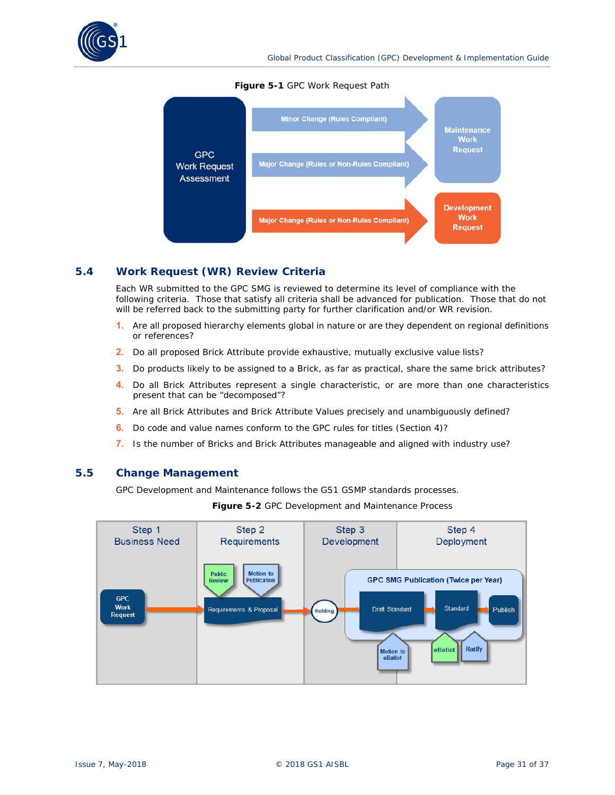

#### **Figure 5-1** GPC Work Request Path



# **5.4 Work Request (WR) Review Criteria**

Each WR submitted to the GPC SMG is reviewed to determine its level of compliance with the following criteria. Those that satisfy all criteria shall be advanced for publication. Those that do not will be referred back to the submitting party for further clarification and/or WR revision.

- **1.** Are all proposed hierarchy elements global in nature or are they dependent on regional definitions or references?
- **2.** Do all proposed Brick Attribute provide exhaustive, mutually exclusive value lists?
- **3.** Do products likely to be assigned to a Brick, as far as practical, share the same brick attributes?
- **4.** Do all Brick Attributes represent a single characteristic, or are more than one characteristics present that can be "decomposed"?
- **5.** Are all Brick Attributes and Brick Attribute Values precisely and unambiguously defined?
- **6.** Do code and value names conform to the GPC rules for titles (Section 4)?
- **7.** Is the number of Bricks and Brick Attributes manageable and aligned with industry use?

### **5.5 Change Management**

GPC Development and Maintenance follows the GS1 GSMP standards processes.

**Figure 5-2** GPC Development and Maintenance Process

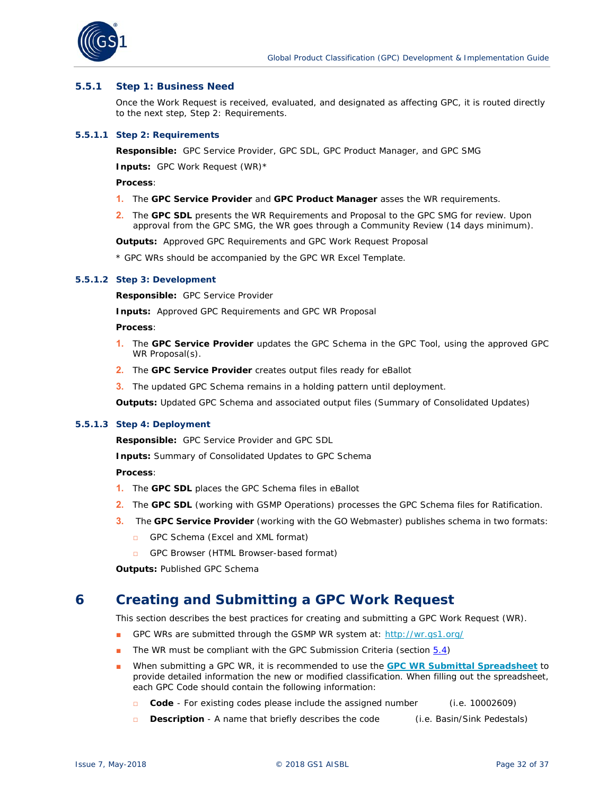

#### **5.5.1 Step 1: Business Need**

Once the Work Request is received, evaluated, and designated as affecting GPC, it is routed directly to the next step, Step 2: Requirements.

#### **5.5.1.1 Step 2: Requirements**

**Responsible:** GPC Service Provider, GPC SDL, GPC Product Manager, and GPC SMG

**Inputs:** GPC Work Request (WR)\*

**Process**:

- **1.** The **GPC Service Provider** and **GPC Product Manager** asses the WR requirements.
- **2.** The **GPC SDL** presents the WR Requirements and Proposal to the GPC SMG for review. Upon approval from the GPC SMG, the WR goes through a Community Review (14 days minimum).

**Outputs:** Approved GPC Requirements and GPC Work Request Proposal

\* GPC WRs should be accompanied by the GPC WR Excel Template.

#### **5.5.1.2 Step 3: Development**

**Responsible:** GPC Service Provider

**Inputs:** Approved GPC Requirements and GPC WR Proposal

**Process**:

- **1.** The **GPC Service Provider** updates the GPC Schema in the GPC Tool, using the approved GPC WR Proposal(s).
- **2.** The **GPC Service Provider** creates output files ready for eBallot
- **3.** The updated GPC Schema remains in a holding pattern until deployment.

**Outputs:** Updated GPC Schema and associated output files (Summary of Consolidated Updates)

#### **5.5.1.3 Step 4: Deployment**

**Responsible:** GPC Service Provider and GPC SDL

**Inputs:** Summary of Consolidated Updates to GPC Schema

**Process**:

- **1.** The **GPC SDL** places the GPC Schema files in eBallot
- **2.** The **GPC SDL** (working with GSMP Operations) processes the GPC Schema files for Ratification.
- **3.** The **GPC Service Provider** (working with the GO Webmaster) publishes schema in two formats:
	- □ GPC Schema (Excel and XML format)
	- □ GPC Browser (HTML Browser-based format)

**Outputs:** Published GPC Schema

# **6 Creating and Submitting a GPC Work Request**

This section describes the best practices for creating and submitting a GPC Work Request (WR).

- GPC WRs are submitted through the GSMP WR system at: *http://wr.gs1.org/*
- The WR must be compliant with the GPC Submission Criteria (section 5.4)
- When submitting a GPC WR, it is recommended to use the **[GPC WR Submittal Spreadsheet](https://www.gs1.org/standards/wr)** to provide detailed information the new or modified classification. When filling out the spreadsheet, each GPC Code should contain the following information:
	- □ **Code** For existing codes please include the assigned number (i.e. 10002609)
	- □ **Description** A name that briefly describes the code (i.e. Basin/Sink Pedestals)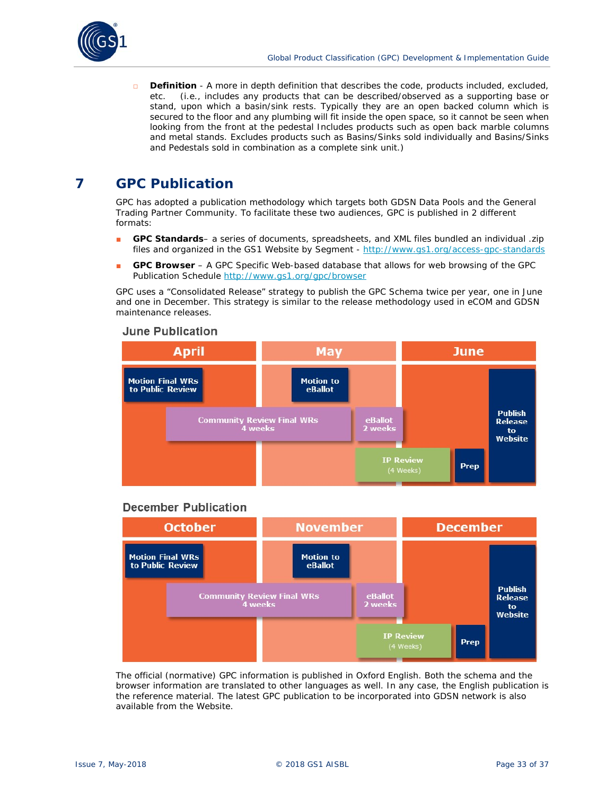

□ **Definition** - A more in depth definition that describes the code, products included, excluded, etc. (i.e., includes any products that can be described/observed as a supporting base or stand, upon which a basin/sink rests. Typically they are an open backed column which is secured to the floor and any plumbing will fit inside the open space, so it cannot be seen when looking from the front at the pedestal Includes products such as open back marble columns and metal stands. Excludes products such as Basins/Sinks sold individually and Basins/Sinks and Pedestals sold in combination as a complete sink unit.)

# **7 GPC Publication**

GPC has adopted a publication methodology which targets both GDSN Data Pools and the General Trading Partner Community. To facilitate these two audiences, GPC is published in 2 different formats:

- **GPC Standards** a series of documents, spreadsheets, and XML files bundled an individual .zip files and organized in the GS1 Website by Segment - http://www.gs1.org/access-gpc-standards
- **GPC Browser** A GPC Specific Web-based database that allows for web browsing of the GPC Publication Schedule http://www.gs1.org/gpc/browser

GPC uses a "Consolidated Release" strategy to publish the GPC Schema twice per year, one in June and one in December. This strategy is similar to the release methodology used in eCOM and GDSN maintenance releases.

### **June Publication**



# **December Publication**



The official (normative) GPC information is published in Oxford English. Both the schema and the browser information are translated to other languages as well. In any case, the English publication is the reference material. The latest GPC publication to be incorporated into GDSN network is also available from the Website.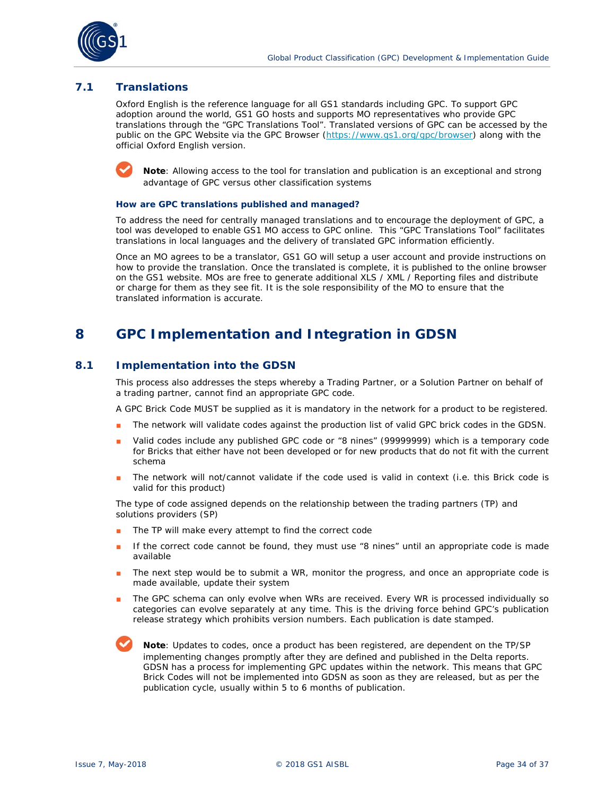

# **7.1 Translations**

Oxford English is the reference language for all GS1 standards including GPC. To support GPC adoption around the world, GS1 GO hosts and supports MO representatives who provide GPC translations through the "GPC Translations Tool". Translated versions of GPC can be accessed by the public on the GPC Website via the GPC Browser (*https://www.gs1.org/gpc/browser*) along with the official Oxford English version.



**Note**: Allowing access to the tool for translation and publication is an exceptional and strong advantage of GPC versus other classification systems

#### **How are GPC translations published and managed?**

To address the need for centrally managed translations and to encourage the deployment of GPC, a tool was developed to enable GS1 MO access to GPC online. This "GPC Translations Tool" facilitates translations in local languages and the delivery of translated GPC information efficiently.

Once an MO agrees to be a translator, GS1 GO will setup a user account and provide instructions on how to provide the translation. Once the translated is complete, it is published to the online browser on the GS1 website. MOs are free to generate additional XLS / XML / Reporting files and distribute or charge for them as they see fit. It is the sole responsibility of the MO to ensure that the translated information is accurate.

# **8 GPC Implementation and Integration in GDSN**

# **8.1 Implementation into the GDSN**

This process also addresses the steps whereby a Trading Partner, or a Solution Partner on behalf of a trading partner, cannot find an appropriate GPC code.

A GPC Brick Code MUST be supplied as it is mandatory in the network for a product to be registered.

- The network will validate codes against the production list of valid GPC brick codes in the GDSN.
- Valid codes include any published GPC code or "8 nines" (99999999) which is a temporary code for Bricks that either have not been developed or for new products that do not fit with the current schema
- The network will not/cannot validate if the code used is valid in context (i.e. this Brick code is valid for this product)

The type of code assigned depends on the relationship between the trading partners (TP) and solutions providers (SP)

- The TP will make every attempt to find the correct code
- If the correct code cannot be found, they must use "8 nines" until an appropriate code is made available
- The next step would be to submit a WR, monitor the progress, and once an appropriate code is made available, update their system
- The GPC schema can only evolve when WRs are received. Every WR is processed individually so categories can evolve separately at any time. This is the driving force behind GPC's publication release strategy which prohibits version numbers. Each publication is date stamped.

**Note**: Updates to codes, once a product has been registered, are dependent on the TP/SP implementing changes promptly after they are defined and published in the Delta reports. GDSN has a process for implementing GPC updates within the network. This means that GPC Brick Codes will not be implemented into GDSN as soon as they are released, but as per the publication cycle, usually within 5 to 6 months of publication.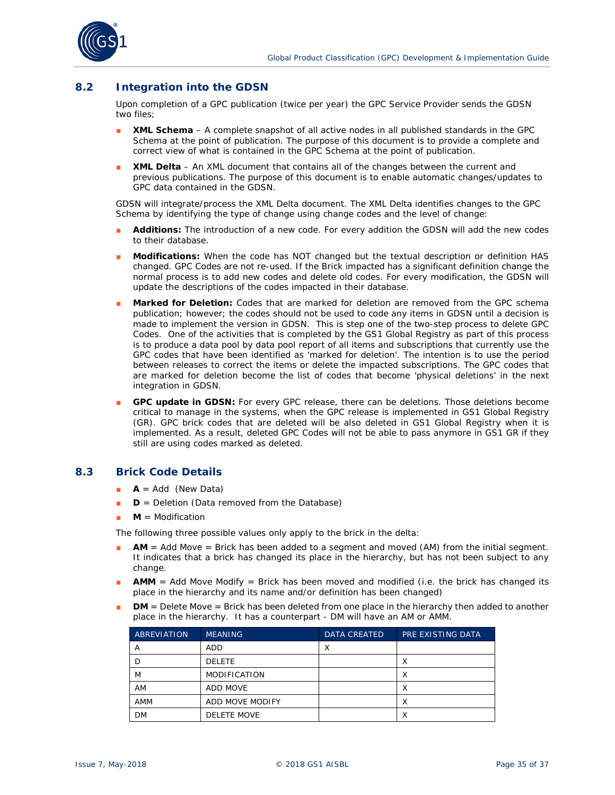

# **8.2 Integration into the GDSN**

Upon completion of a GPC publication (twice per year) the GPC Service Provider sends the GDSN two files;

- **XML Schema** A complete snapshot of all active nodes in all published standards in the GPC Schema at the point of publication. The purpose of this document is to provide a complete and correct view of what is contained in the GPC Schema at the point of publication.
- **XML Delta** An XML document that contains all of the changes between the current and previous publications. The purpose of this document is to enable automatic changes/updates to GPC data contained in the GDSN.

GDSN will integrate/process the XML Delta document. The XML Delta identifies changes to the GPC Schema by identifying the type of change using change codes and the level of change:

- Additions: The introduction of a new code. For every addition the GDSN will add the new codes to their database.
- **Modifications:** When the code has NOT changed but the textual description or definition HAS changed. GPC Codes are not re-used. If the Brick impacted has a significant definition change the normal process is to add new codes and delete old codes. For every modification, the GDSN will update the descriptions of the codes impacted in their database.
- Marked for Deletion: Codes that are marked for deletion are removed from the GPC schema publication; however; the codes should not be used to code any items in GDSN until a decision is made to implement the version in GDSN. This is step one of the two-step process to delete GPC Codes. One of the activities that is completed by the GS1 Global Registry as part of this process is to produce a data pool by data pool report of all items and subscriptions that currently use the GPC codes that have been identified as 'marked for deletion'. The intention is to use the period between releases to correct the items or delete the impacted subscriptions. The GPC codes that are marked for deletion become the list of codes that become 'physical deletions' in the next integration in GDSN.
- GPC update in GDSN: For every GPC release, there can be deletions. Those deletions become critical to manage in the systems, when the GPC release is implemented in GS1 Global Registry (GR). GPC brick codes that are deleted will be also deleted in GS1 Global Registry when it is implemented. As a result, deleted GPC Codes will not be able to pass anymore in GS1 GR if they still are using codes marked as deleted.

### **8.3 Brick Code Details**

- $\bullet$  **A** = Add (New Data)
- **D** = Deletion (Data removed from the Database)
- $M =$  Modification

The following three possible values only apply to the brick in the delta:

- AM = Add Move = Brick has been added to a segment and moved (AM) from the initial segment. It indicates that a brick has changed its place in the hierarchy, but has not been subject to any change.
- **AMM** = Add Move Modify = Brick has been moved and modified (i.e. the brick has changed its place in the hierarchy and its name and/or definition has been changed)
- **DM** = Delete Move = Brick has been deleted from one place in the hierarchy then added to another place in the hierarchy. It has a counterpart - DM will have an AM or AMM.

| <b>ABREVIATION</b> | <b>MEANING</b>      | <b>DATA CREATED</b> | PRE EXISTING DATA |
|--------------------|---------------------|---------------------|-------------------|
| А                  | ADD                 |                     |                   |
|                    | <b>DELETE</b>       |                     |                   |
| M                  | <b>MODIFICATION</b> |                     | х                 |
| AM                 | ADD MOVE            |                     |                   |
| AMM                | ADD MOVE MODIFY     |                     | ⌒                 |
| DM                 | <b>DELETE MOVE</b>  |                     |                   |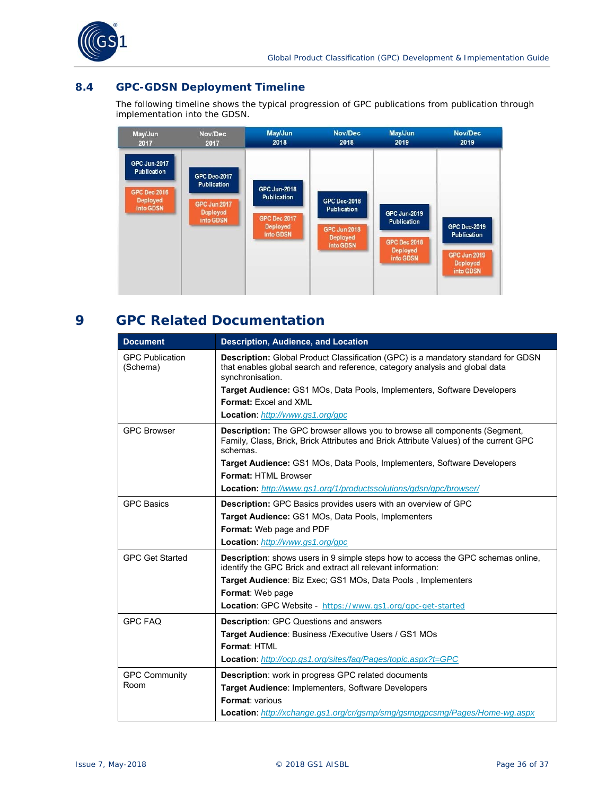

# **8.4 GPC-GDSN Deployment Timeline**

The following timeline shows the typical progression of GPC publications from publication through implementation into the GDSN.



# **9 GPC Related Documentation**

| <b>Document</b>                    | <b>Description, Audience, and Location</b>                                                                                                                                                  |
|------------------------------------|---------------------------------------------------------------------------------------------------------------------------------------------------------------------------------------------|
| <b>GPC Publication</b><br>(Schema) | <b>Description:</b> Global Product Classification (GPC) is a mandatory standard for GDSN<br>that enables global search and reference, category analysis and global data<br>synchronisation. |
|                                    | Target Audience: GS1 MOs, Data Pools, Implementers, Software Developers                                                                                                                     |
|                                    | Format: Excel and XML                                                                                                                                                                       |
|                                    | Location: http://www.gs1.org/gpc                                                                                                                                                            |
| <b>GPC Browser</b>                 | <b>Description:</b> The GPC browser allows you to browse all components (Segment,<br>Family, Class, Brick, Brick Attributes and Brick Attribute Values) of the current GPC<br>schemas.      |
|                                    | <b>Target Audience:</b> GS1 MOs, Data Pools, Implementers, Software Developers<br>Format: HTMI Browser                                                                                      |
|                                    | <b>Location:</b> http://www.gs1.org/1/productssolutions/gdsn/gpc/browser/                                                                                                                   |
| <b>GPC Basics</b>                  | <b>Description:</b> GPC Basics provides users with an overview of GPC                                                                                                                       |
|                                    | Target Audience: GS1 MOs, Data Pools, Implementers                                                                                                                                          |
|                                    | Format: Web page and PDF                                                                                                                                                                    |
|                                    | Location: http://www.gs1.org/gpc                                                                                                                                                            |
| <b>GPC Get Started</b>             | <b>Description:</b> shows users in 9 simple steps how to access the GPC schemas online,<br>identify the GPC Brick and extract all relevant information:                                     |
|                                    | Target Audience: Biz Exec; GS1 MOs, Data Pools, Implementers                                                                                                                                |
|                                    | Format: Web page                                                                                                                                                                            |
|                                    | Location: GPC Website - https://www.gs1.org/gpc-get-started                                                                                                                                 |
| <b>GPC FAQ</b>                     | <b>Description: GPC Questions and answers</b>                                                                                                                                               |
|                                    | Target Audience: Business / Executive Users / GS1 MOs                                                                                                                                       |
|                                    | Format: HTMI                                                                                                                                                                                |
|                                    | <b>Location:</b> http://ocp.gs1.org/sites/faq/Pages/topic.aspx?t=GPC                                                                                                                        |
| <b>GPC Community</b>               | <b>Description:</b> work in progress GPC related documents                                                                                                                                  |
| Room                               | Target Audience: Implementers, Software Developers                                                                                                                                          |
|                                    | Format: various                                                                                                                                                                             |
|                                    | <b>Location:</b> http://xchange.gs1.org/cr/gsmp/smg/gsmpgpcsmg/Pages/Home-wg.aspx                                                                                                           |